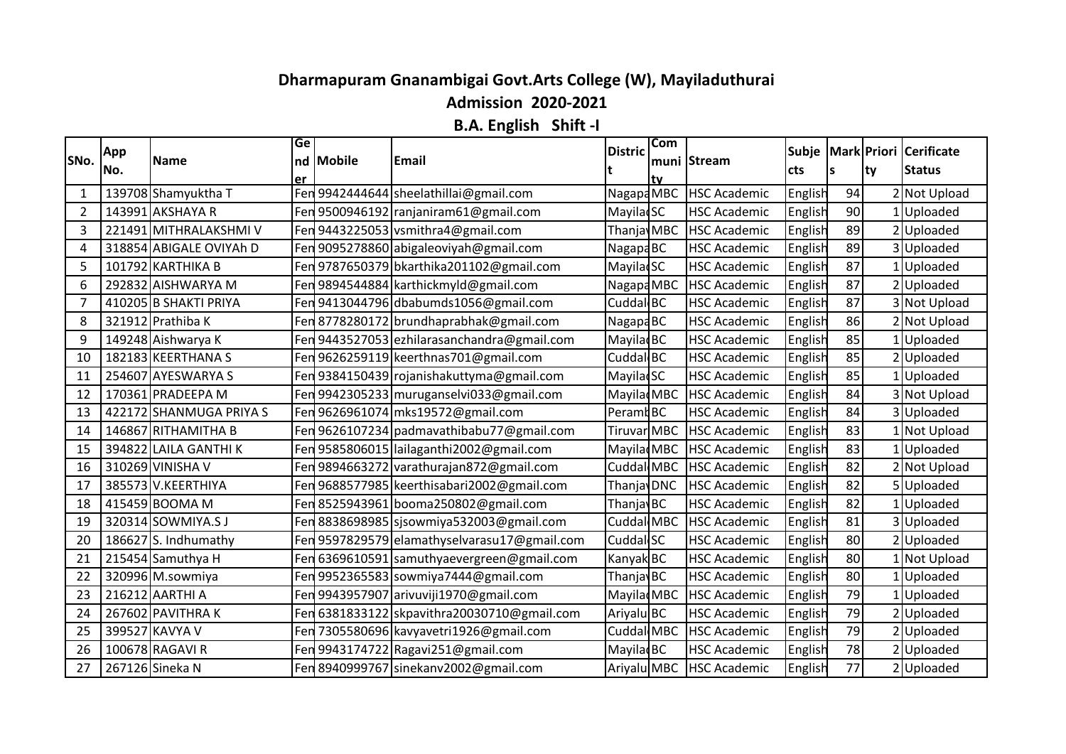## **Dharmapuram Gnanambigai Govt.Arts College (W), Mayiladuthurai**

**Admission 2020-2021**

**B.A. English Shift -I**

|                | App  |                         | Ge  |           |                                              | <b>Distric</b>        | <b>Com</b> |                     |         |    |      | Subje Mark Priori Cerificate |
|----------------|------|-------------------------|-----|-----------|----------------------------------------------|-----------------------|------------|---------------------|---------|----|------|------------------------------|
| SNo.           | lNo. | <b>Name</b>             |     | nd Mobile | Email                                        |                       |            | muni Stream         | cts     | ls | lty. | <b>Status</b>                |
| 1              |      | 139708 Shamyuktha T     | er  |           | Fen 9942444644 sheelathillai@gmail.com       | $N$ agapa $M$ BC      | tv         | <b>HSC Academic</b> | English | 94 |      | 2 Not Upload                 |
| $\overline{2}$ |      | 143991 AKSHAYA R        |     |           | Fen 9500946192   ranjaniram61@gmail.com      | <b>MayiladSC</b>      |            | <b>HSC Academic</b> | English | 90 |      | Uploaded                     |
| 3              |      | 221491 MITHRALAKSHMI V  |     |           | Fen 9443225053 vsmithra4@gmail.com           | Thanja MBC            |            | <b>HSC Academic</b> | English | 89 |      | 2Uploaded                    |
| 4              |      | 318854 ABIGALE OVIYAh D |     |           | Fen 9095278860 abigaleoviyah@gmail.com       | Nagapa <sub>BC</sub>  |            | <b>HSC Academic</b> | English | 89 |      | 3Uploaded                    |
| 5              |      | 101792 KARTHIKA B       |     |           | Fen 9787650379 bkarthika201102@gmail.com     | <b>MayilacSC</b>      |            | <b>HSC Academic</b> | English | 87 |      | 1 Uploaded                   |
| 6              |      | 292832 AISHWARYA M      |     |           | Fen 9894544884 karthickmyld@gmail.com        | Nagapa MBC            |            | <b>HSC Academic</b> | English | 87 |      | Uploaded                     |
| $\overline{7}$ |      | 410205 B SHAKTI PRIYA   |     |           | Fen 9413044796 dbabumds1056@gmail.com        | Cuddal BC             |            | <b>HSC Academic</b> | English | 87 |      | 3 Not Upload                 |
| 8              |      | 321912 Prathiba K       |     |           | Fen 8778280172 brundhaprabhak@gmail.com      | Nagapa <sub>BC</sub>  |            | <b>HSC Academic</b> | English | 86 |      | Not Upload                   |
| 9              |      | 149248 Aishwarya K      |     |           | Fen 9443527053 ezhilarasanchandra@gmail.com  | Mayila BC             |            | <b>HSC Academic</b> | English | 85 |      | 1 Uploaded                   |
| 10             |      | 182183 KEERTHANA S      |     |           | Fen 9626259119 keerthnas701@gmail.com        | Cuddal BC             |            | <b>HSC Academic</b> | English | 85 |      | 2Uploaded                    |
| 11             |      | 254607 AYESWARYA S      |     |           | Fen 9384150439 rojanishakuttyma@gmail.com    | Mayila SC             |            | <b>HSC Academic</b> | English | 85 |      | 1 Uploaded                   |
| 12             |      | 170361 PRADEEPA M       |     |           | Fen 9942305233   muruganselvi033@gmail.com   | MayiladMBC            |            | <b>HSC Academic</b> | English | 84 |      | 3 Not Upload                 |
| 13             |      | 422172 SHANMUGA PRIYA S |     |           | Fen 9626961074 mks19572@gmail.com            | Peramt BC             |            | <b>HSC Academic</b> | English | 84 |      | 3Uploaded                    |
| 14             |      | 146867 RITHAMITHA B     |     |           | Fen 9626107234   padmavathibabu77@gmail.com  | Tiruvar MBC           |            | <b>HSC Academic</b> | English | 83 |      | 1 Not Upload                 |
| 15             |      | 394822 LAILA GANTHI K   |     |           | Fen 9585806015 lailaganthi2002@gmail.com     | Mayila MBC            |            | <b>HSC Academic</b> | English | 83 |      | 1 Uploaded                   |
| 16             |      | 310269 VINISHA V        |     |           | Fen 9894663272 varathurajan872@gmail.com     | Cuddal MBC            |            | <b>HSC Academic</b> | English | 82 |      | 2 Not Upload                 |
| 17             |      | 385573 V.KEERTHIYA      |     |           | Fen 9688577985 keerthisabari2002@gmail.com   | Thanja <b>DNC</b>     |            | <b>HSC Academic</b> | English | 82 |      | 5Uploaded                    |
| 18             |      | 415459 BOOMA M          |     |           | Fen 8525943961 booma250802@gmail.com         | Thanjav <sub>BC</sub> |            | <b>HSC Academic</b> | English | 82 |      | 1 Uploaded                   |
| 19             |      | 320314 SOWMIYA.SJ       |     |           | Fen 8838698985   sjsowmiya532003@gmail.com   | Cuddal MBC            |            | <b>HSC Academic</b> | English | 81 |      | 3Uploaded                    |
| 20             |      | 186627 S. Indhumathy    |     |           | Fen 9597829579 elamathyselvarasu17@gmail.com | Cuddal SC             |            | <b>HSC Academic</b> | English | 80 |      | 2Uploaded                    |
| 21             |      | 215454 Samuthya H       |     |           | Fen 6369610591 samuthyaevergreen@gmail.com   | Kanyak BC             |            | <b>HSC Academic</b> | English | 80 |      | Not Upload                   |
| 22             |      | 320996 M.sowmiya        |     |           | Fen 9952365583 sowmiya7444@gmail.com         | Thanjav <sub>BC</sub> |            | <b>HSC Academic</b> | English | 80 |      | 1 Uploaded                   |
| 23             |      | 216212 AARTHI A         |     |           | Fen 9943957907 arivuviji1970@gmail.com       | Mayila MBC            |            | <b>HSC Academic</b> | English | 79 |      | Uploaded                     |
| 24             |      | 267602 PAVITHRAK        |     |           | Fen 6381833122 skpavithra20030710@gmail.com  | Ariyalu BC            |            | <b>HSC Academic</b> | English | 79 |      | 2Uploaded                    |
| 25             |      | 399527 KAVYA V          | Fen |           | 7305580696 kavyavetri1926@gmail.com          | Cuddal MBC            |            | <b>HSC Academic</b> | English | 79 |      | 2Uploaded                    |
| 26             |      | 100678 RAGAVI R         |     |           | Fen 9943174722 Ragavi251@gmail.com           | <b>MayiladBC</b>      |            | <b>HSC Academic</b> | English | 78 |      | 2Uploaded                    |
| 27             |      | 267126 Sineka N         |     |           | Fen 8940999767 sinekanv2002@gmail.com        | Ariyalu MBC           |            | <b>HSC Academic</b> | English | 77 |      | 2 Uploaded                   |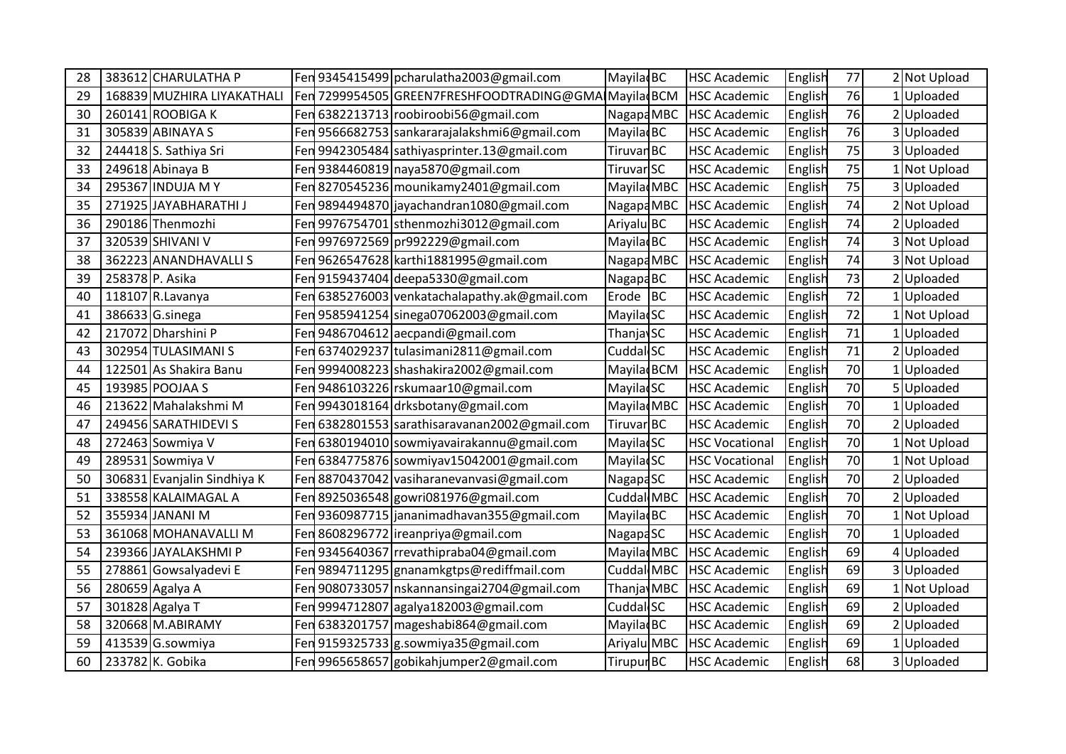| 28 |                 | 383612 CHARULATHA P         |     | Fen 9345415499 pcharulatha2003@gmail.com             | Mayila BC             | <b>HSC Academic</b>   | English | 77 | 2 Not Upload |
|----|-----------------|-----------------------------|-----|------------------------------------------------------|-----------------------|-----------------------|---------|----|--------------|
| 29 |                 | 168839 MUZHIRA LIYAKATHALI  |     | Fen 7299954505 GREEN7FRESHFOODTRADING@GMAIMayiladBCM |                       | <b>HSC Academic</b>   | English | 76 | Uploaded     |
| 30 |                 | 260141 ROOBIGA K            |     | Fen 6382213713 roobiroobi56@gmail.com                | Nagapa MBC            | <b>HSC Academic</b>   | English | 76 | 2 Uploaded   |
| 31 |                 | 305839 ABINAYA S            | Fen | 9566682753 sankararajalakshmi6@gmail.com             | Mayila BC             | <b>HSC Academic</b>   | English | 76 | 3Uploaded    |
| 32 |                 | 244418 S. Sathiya Sri       | Fen | 9942305484 sathiyasprinter.13@gmail.com              | Tiruvan <sub>BC</sub> | <b>HSC Academic</b>   | English | 75 | 3Uploaded    |
| 33 |                 | 249618 Abinaya B            | Fen | 9384460819 naya5870@gmail.com                        | Tiruvar SC            | <b>HSC Academic</b>   | English | 75 | 1 Not Upload |
| 34 |                 | 295367 INDUJA MY            |     | Fen 8270545236 mounikamy 2401@gmail.com              | Mayila MBC            | <b>HSC Academic</b>   | English | 75 | 3 Uploaded   |
| 35 |                 | 271925 JAYABHARATHI J       | Fen | 9894494870 jayachandran1080@gmail.com                | Nagapa MBC            | <b>HSC Academic</b>   | English | 74 | 2 Not Upload |
| 36 |                 | 290186 Thenmozhi            | Fen | 9976754701 sthenmozhi3012@gmail.com                  | Ariyalu BC            | <b>HSC Academic</b>   | English | 74 | 2 Uploaded   |
| 37 |                 | 320539 SHIVANI V            | Fen | 9976972569 pr992229@gmail.com                        | Mayila BC             | <b>HSC Academic</b>   | English | 74 | 3 Not Upload |
| 38 |                 | 362223 ANANDHAVALLIS        | Fen | 9626547628 karthi1881995@gmail.com                   | Nagapa MBC            | <b>HSC Academic</b>   | English | 74 | 3 Not Upload |
| 39 | 258378 P. Asika |                             | Fen | 9159437404 deepa5330@gmail.com                       | Nagapa <sub>BC</sub>  | <b>HSC Academic</b>   | English | 73 | 2Uploaded    |
| 40 |                 | 118107 R.Lavanya            | Fen | 6385276003 venkatachalapathy.ak@gmail.com            | $Erode$ BC            | <b>HSC Academic</b>   | English | 72 | Uploaded     |
| 41 |                 | 386633 G.sinega             | Fen | 9585941254 sinega07062003@gmail.com                  | <b>Mayila</b> SC      | <b>HSC Academic</b>   | English | 72 | 1 Not Upload |
| 42 |                 | 217072 Dharshini P          | Fen | 9486704612 aecpandi@gmail.com                        | ThanjavSC             | <b>HSC Academic</b>   | English | 71 | 1Uploaded    |
| 43 |                 | 302954 TULASIMANI S         | Fen | 6374029237 tulasimani2811@gmail.com                  | Cuddal SC             | <b>HSC Academic</b>   | English | 71 | Uploaded     |
| 44 |                 | 122501 As Shakira Banu      | Fen | 9994008223 shashakira2002@gmail.com                  | Mayila BCM            | <b>HSC Academic</b>   | English | 70 | Uploaded     |
| 45 |                 | 193985 POOJAA S             | Fen | 9486103226 rskumaar10@gmail.com                      | <b>MayilacSC</b>      | <b>HSC Academic</b>   | English | 70 | 5Uploaded    |
| 46 |                 | 213622 Mahalakshmi M        | Fen | 9943018164 drksbotany@gmail.com                      | Mayila MBC            | <b>HSC Academic</b>   | English | 70 | Uploaded     |
| 47 |                 | 249456 SARATHIDEVI S        | Fen | 6382801553 sarathisaravanan2002@gmail.com            | Tiruvar BC            | <b>HSC Academic</b>   | English | 70 | 2Uploaded    |
| 48 |                 | 272463 Sowmiya V            | Fen | 6380194010 sowmiyavairakannu@gmail.com               | <b>MayiladSC</b>      | <b>HSC Vocational</b> | English | 70 | Not Upload   |
| 49 |                 | 289531 Sowmiya V            | Fen | 6384775876 sowmiyav15042001@gmail.com                | <b>MayiladSC</b>      | <b>HSC Vocational</b> | English | 70 | 1 Not Upload |
| 50 |                 | 306831 Evanjalin Sindhiya K | Fen | 8870437042 vasiharanevanvasi@gmail.com               | <b>NagapaSC</b>       | <b>HSC Academic</b>   | English | 70 | 2Uploaded    |
| 51 |                 | 338558 KALAIMAGAL A         | Fen | 8925036548 gowri081976@gmail.com                     | Cuddal MBC            | <b>HSC Academic</b>   | English | 70 | 2Uploaded    |
| 52 |                 | 355934 JANANI M             | Fen | 9360987715 jananimadhavan355@gmail.com               | Mayila BC             | <b>HSC Academic</b>   | English | 70 | 1 Not Upload |
| 53 |                 | 361068 MOHANAVALLI M        | Fen | 8608296772 ireanpriya@gmail.com                      | NagapaSC              | <b>HSC Academic</b>   | English | 70 | 1 Uploaded   |
| 54 |                 | 239366 JAYALAKSHMIP         | Fen | 9345640367 rrevathipraba04@gmail.com                 | Mayila MBC            | <b>HSC Academic</b>   | English | 69 | 4Uploaded    |
| 55 |                 | 278861 Gowsalyadevi E       | Fen | 9894711295 gnanamkgtps@rediffmail.com                | Cuddal MBC            | <b>HSC Academic</b>   | English | 69 | 3Uploaded    |
| 56 |                 | 280659 Agalya A             | Fen | 9080733057   nskannansingai 2704@gmail.com           | Thanja MBC            | <b>HSC Academic</b>   | English | 69 | 1 Not Upload |
| 57 |                 | 301828 Agalya T             |     | Fen 9994712807 agalya182003@gmail.com                | Cuddal <sub>SC</sub>  | <b>HSC Academic</b>   | English | 69 | 2 Uploaded   |
| 58 |                 | 320668 M.ABIRAMY            | Fen | 6383201757 mageshabi864@gmail.com                    | Mayilad <sub>BC</sub> | <b>HSC Academic</b>   | English | 69 | Uploaded     |
| 59 |                 | 413539 G.sowmiya            | Fen | 9159325733 g.sowmiya35@gmail.com                     | Ariyalu MBC           | <b>HSC Academic</b>   | English | 69 | Uploaded     |
| 60 |                 | 233782 K. Gobika            | Fen | 9965658657 gobikahjumper2@gmail.com                  | <b>Tirupur BC</b>     | <b>HSC Academic</b>   | English | 68 | 3 Uploaded   |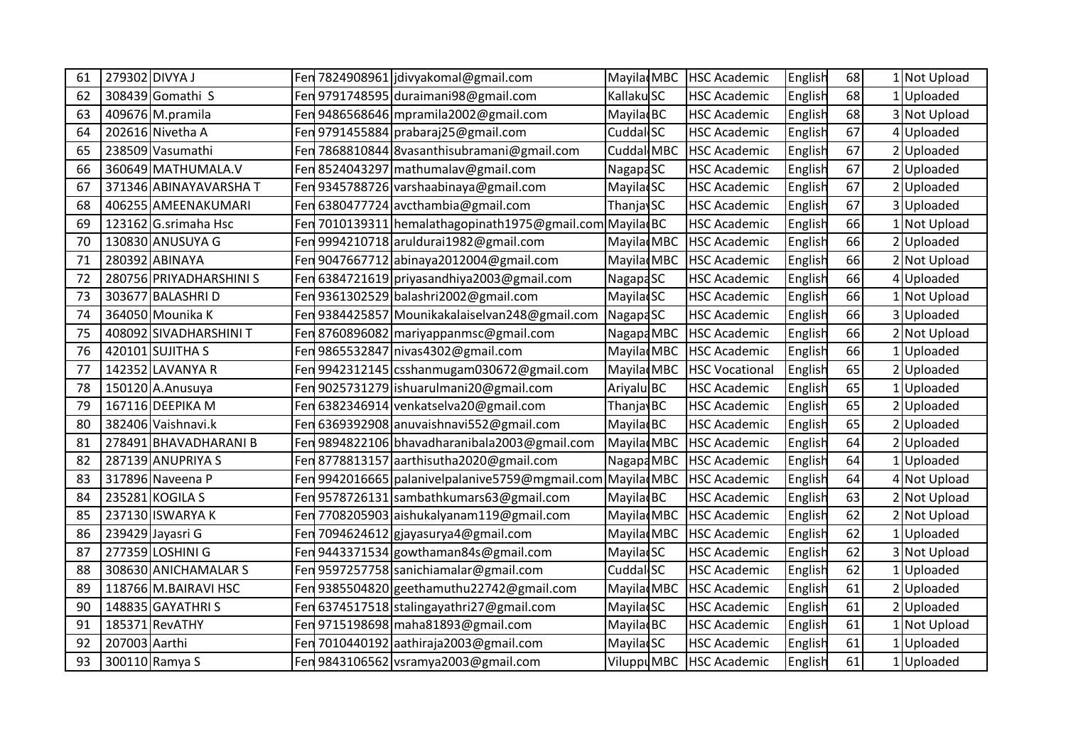| 61 | 279302 DIVYA J |                         | Fen  | 7824908961 jdivyakomal@gmail.com                             | Mayila MBC            | <b>HSC Academic</b>   | English | 68 | Not Upload   |
|----|----------------|-------------------------|------|--------------------------------------------------------------|-----------------------|-----------------------|---------|----|--------------|
| 62 |                | 308439 Gomathi S        | Fen  | 9791748595 duraimani98@gmail.com                             | Kallaku SC            | <b>HSC Academic</b>   | English | 68 | Uploaded     |
| 63 |                | 409676 M.pramila        |      | Fen 9486568646 mpramila 2002@gmail.com                       | <b>MayiladBC</b>      | <b>HSC Academic</b>   | English | 68 | 3 Not Upload |
| 64 |                | 202616 Nivetha A        | Fen  | 9791455884 prabaraj25@gmail.com                              | Cuddal SC             | <b>HSC Academic</b>   | English | 67 | 4 Uploaded   |
| 65 |                | 238509 Vasumathi        | Fen  | 7868810844 8vasanthisubramani@gmail.com                      | Cuddal MBC            | <b>HSC Academic</b>   | English | 67 | 2Uploaded    |
| 66 |                | 360649 MATHUMALA.V      | Fen  | 8524043297 mathumalav@gmail.com                              | Nagapa <sub>SC</sub>  | <b>HSC Academic</b>   | English | 67 | Uploaded     |
| 67 |                | 371346 ABINAYAVARSHA T  |      | Fen 9345788726 varshaabinaya@gmail.com                       | <b>MayiladSC</b>      | <b>HSC Academic</b>   | English | 67 | 2 Uploaded   |
| 68 |                | 406255 AMEENAKUMARI     | Fen  | 6380477724 avcthambia@gmail.com                              | <b>ThanjavSC</b>      | <b>HSC Academic</b>   | English | 67 | 3Uploaded    |
| 69 |                | 123162 G.srimaha Hsc    | Fen  | 7010139311 hemalathagopinath1975@gmail.com Mayilad BC        |                       | <b>HSC Academic</b>   | English | 66 | Not Upload   |
| 70 |                | 130830 ANUSUYA G        | Fen  | 9994210718 aruldurai1982@gmail.com                           | Mayila MBC            | <b>HSC Academic</b>   | English | 66 | Uploaded     |
| 71 |                | 280392 ABINAYA          |      | Fen 9047667712 abinaya2012004@gmail.com                      | Mayila MBC            | <b>HSC Academic</b>   | English | 66 | 2 Not Upload |
| 72 |                | 280756 PRIYADHARSHINI S | Fen  | 6384721619 priyasandhiya2003@gmail.com                       | <b>NagapaSC</b>       | <b>HSC Academic</b>   | English | 66 | 4Uploaded    |
| 73 |                | 303677 BALASHRI D       | Fen  | 9361302529 balashri2002@gmail.com                            | <b>Mayila</b> SC      | <b>HSC Academic</b>   | English | 66 | Not Upload   |
| 74 |                | 364050 Mounika K        | Fen  | 9384425857 Mounikakalaiselvan248@gmail.com                   | <b>NagapaSC</b>       | <b>HSC Academic</b>   | English | 66 | 3 Uploaded   |
| 75 |                | 408092 SIVADHARSHINI T  |      | Fen 8760896082 mariyappanmsc@gmail.com                       | Nagapa MBC            | <b>HSC Academic</b>   | English | 66 | 2 Not Upload |
| 76 |                | 420101 SUJITHA S        | Fen  | 9865532847 nivas4302@gmail.com                               | Mayila MBC            | <b>HSC Academic</b>   | English | 66 | Uploaded     |
| 77 |                | 142352 LAVANYA R        | Fen  | 9942312145 csshanmugam030672@gmail.com                       | Mayila MBC            | <b>HSC Vocational</b> | English | 65 | 2 Uploaded   |
| 78 |                | 150120 A.Anusuya        | Fen  | 9025731279 ishuarulmani20@gmail.com                          | Ariyalu BC            | <b>HSC Academic</b>   | English | 65 | 1 Uploaded   |
| 79 |                | 167116 DEEPIKA M        |      | Fen 6382346914 venkatselva20@gmail.com                       | Thanjav <sub>BC</sub> | <b>HSC Academic</b>   | English | 65 | 2 Uploaded   |
| 80 |                | 382406 Vaishnavi.k      | Fen  | 6369392908 anuvaishnavi552@gmail.com                         | Mayila BC             | <b>HSC Academic</b>   | English | 65 | 2Uploaded    |
| 81 |                | 278491 BHAVADHARANI B   | Fer  | 9894822106 bhavadharanibala2003@gmail.com                    | MayiladMBC            | <b>HSC Academic</b>   | English | 64 | 2 Uploaded   |
| 82 |                | 287139 ANUPRIYA S       | Fen  | 8778813157 aarthisutha2020@gmail.com                         | Nagapa MBC            | <b>HSC Academic</b>   | English | 64 | 1 Uploaded   |
| 83 |                | 317896 Naveena P        | Fen  | 9942016665   palanivel palanive 5759@mgmail.com   Mayila MBC |                       | <b>HSC Academic</b>   | English | 64 | 4 Not Upload |
| 84 |                | 235281 KOGILA S         | Fenl | 9578726131 sambathkumars63@gmail.com                         | Mayilad <sub>BC</sub> | <b>HSC Academic</b>   | English | 63 | 2 Not Upload |
| 85 |                | 237130 ISWARYA K        | Fen  | 7708205903 aishukalyanam119@gmail.com                        | Mayila MBC            | <b>HSC Academic</b>   | English | 62 | 2 Not Upload |
| 86 |                | 239429 Jayasri G        | Fen  | 7094624612 gjayasurya4@gmail.com                             | Mayila MBC            | <b>HSC Academic</b>   | English | 62 | 1 Uploaded   |
| 87 |                | 277359 LOSHINI G        | Fen  | 9443371534 gowthaman84s@gmail.com                            | <b>MayilacSC</b>      | <b>HSC Academic</b>   | English | 62 | 3 Not Upload |
| 88 |                | 308630 ANICHAMALAR S    | Fen  | 9597257758 sanichiamalar@gmail.com                           | Cuddal <sub>SC</sub>  | <b>HSC Academic</b>   | English | 62 | Uploaded     |
| 89 |                | 118766 M.BAIRAVI HSC    | Fen  | 9385504820 geethamuthu22742@gmail.com                        | Mayila MBC            | <b>HSC Academic</b>   | English | 61 | 2 Uploaded   |
| 90 |                | 148835 GAYATHRI S       |      | Fen 6374517518 stalingayathri27@gmail.com                    | <b>MayilacSC</b>      | <b>HSC Academic</b>   | English | 61 | 2 Uploaded   |
| 91 |                | 185371 RevATHY          | Fen  | 9715198698 maha81893@gmail.com                               | Mayila BC             | <b>HSC Academic</b>   | English | 61 | Not Upload   |
| 92 | 207003 Aarthi  |                         | Fen  | 7010440192 aathiraja2003@gmail.com                           | <b>MayilacSC</b>      | <b>HSC Academic</b>   | English | 61 | Uploaded     |
| 93 |                | 300110 Ramya S          | Fen  | 9843106562 vsramya2003@gmail.com                             | Viluppu MBC           | <b>HSC Academic</b>   | English | 61 | 1 Uploaded   |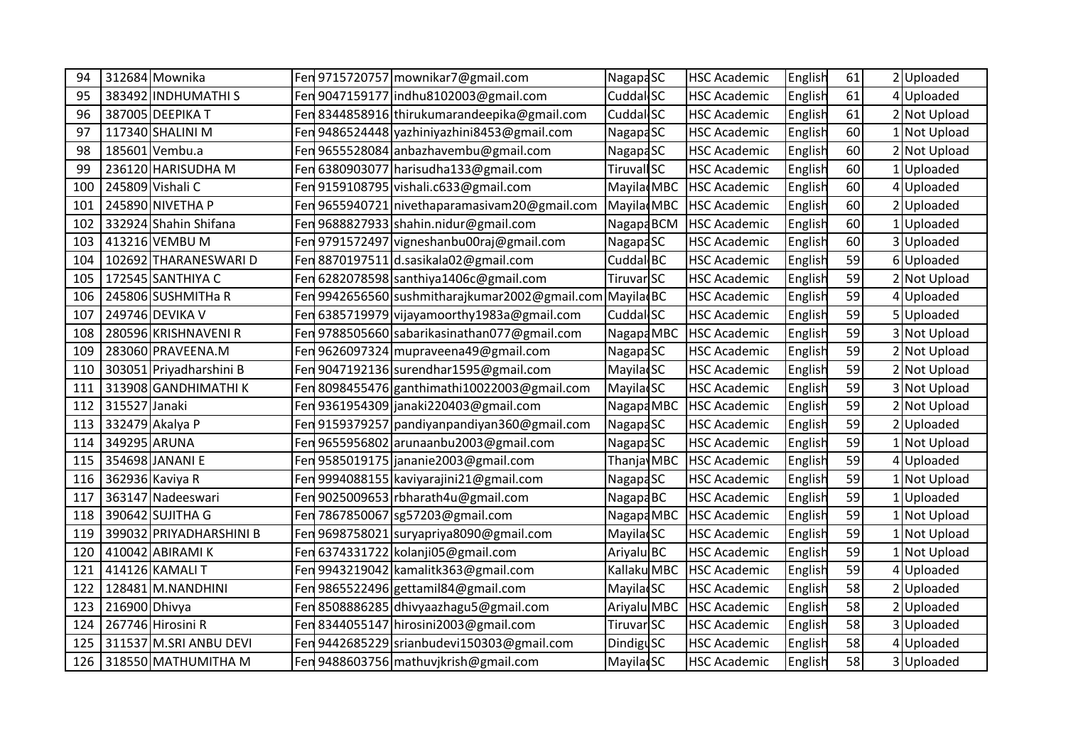| 94  |               | 312684 Mownika          |     | Fen 9715720757 mownikar7@gmail.com            | NagapaSC              | <b>HSC Academic</b> | English | 61 | 2 Uploaded   |
|-----|---------------|-------------------------|-----|-----------------------------------------------|-----------------------|---------------------|---------|----|--------------|
| 95  |               | 383492 INDHUMATHI S     | Fen | 9047159177 indhu8102003@gmail.com             | Cuddal SC             | <b>HSC Academic</b> | English | 61 | 4 Uploaded   |
| 96  |               | 387005 DEEPIKA T        |     | Fen 8344858916 thirukumarandeepika@gmail.com  | Cuddal <sub>SC</sub>  | <b>HSC Academic</b> | English | 61 | 2 Not Upload |
| 97  |               | 117340 SHALINI M        | Fen | 9486524448 yazhiniyazhini8453@gmail.com       | <b>NagapaSC</b>       | <b>HSC Academic</b> | English | 60 | Not Upload   |
| 98  |               | 185601 Vembu.a          | Fen | 9655528084 anbazhavembu@gmail.com             | Nagapa <sub>SC</sub>  | <b>HSC Academic</b> | English | 60 | 2 Not Upload |
| 99  |               | 236120 HARISUDHA M      | Fen | 6380903077 harisudha133@gmail.com             | <b>Tiruvall SC</b>    | <b>HSC Academic</b> | English | 60 | Uploaded     |
| 100 |               | 245809 Vishali C        |     | Fen 9159108795 vishali.c633@gmail.com         | Mayila MBC            | <b>HSC Academic</b> | English | 60 | 4 Uploaded   |
| 101 |               | 245890 NIVETHA P        |     | Fen 9655940721 nivethaparamasivam20@gmail.com | MayiladMBC            | <b>HSC Academic</b> | English | 60 | Uploaded     |
| 102 |               | 332924 Shahin Shifana   | Fen | 9688827933 shahin.nidur@gmail.com             | Nagapa BCM            | <b>HSC Academic</b> | English | 60 | Uploaded     |
| 103 |               | 413216 VEMBU M          | Fen | 9791572497 vigneshanbu00raj@gmail.com         | Nagapa <sub>SC</sub>  | <b>HSC Academic</b> | English | 60 | 3 Uploaded   |
| 104 |               | 102692 THARANESWARI D   | Fen | 8870197511 d.sasikala02@gmail.com             | Cuddal BC             | <b>HSC Academic</b> | English | 59 | 6Uploaded    |
| 105 |               | 172545 SANTHIYA C       | Fen | 6282078598 santhiya1406c@gmail.com            | Tiruvar SC            | <b>HSC Academic</b> | English | 59 | 2 Not Upload |
| 106 |               | 245806 SUSHMITHa R      | Fen | 9942656560 sushmitharajkumar2002@gmail.com    | Mayilad <sub>BC</sub> | <b>HSC Academic</b> | English | 59 | 4 Uploaded   |
| 107 |               | 249746 DEVIKA V         | Fen | 6385719979 vijayamoorthy1983a@gmail.com       | Cuddal SC             | <b>HSC Academic</b> | English | 59 | 5Uploaded    |
| 108 |               | 280596 KRISHNAVENI R    |     | Fen 9788505660 sabarikasinathan077@gmail.com  | Nagapa MBC            | <b>HSC Academic</b> | English | 59 | 3 Not Upload |
| 109 |               | 283060 PRAVEENA.M       | Fen | 9626097324 mupraveena49@gmail.com             | <b>NagapaSC</b>       | <b>HSC Academic</b> | English | 59 | 2 Not Upload |
| 110 |               | 303051 Priyadharshini B | Fen | 9047192136 surendhar1595@gmail.com            | <b>MayilacSC</b>      | <b>HSC Academic</b> | English | 59 | 2 Not Upload |
| 111 |               | 313908 GANDHIMATHI K    | Fen | 8098455476 ganthimathi10022003@gmail.com      | <b>MayiladSC</b>      | <b>HSC Academic</b> | English | 59 | 3 Not Upload |
| 112 | 315527 Janaki |                         | Fen | 9361954309 janaki220403@gmail.com             | Nagapa MBC            | <b>HSC Academic</b> | English | 59 | 2 Not Upload |
| 113 |               | 332479 Akalya P         | Fen | 9159379257 pandiyanpandiyan360@gmail.com      | NagapaSC              | <b>HSC Academic</b> | English | 59 | 2 Uploaded   |
| 114 | 349295 ARUNA  |                         | Fer | 9655956802 arunaanbu2003@gmail.com            | NagapaSC              | <b>HSC Academic</b> | English | 59 | Not Upload   |
| 115 |               | 354698 JANANI E         |     | Fen 9585019175 jananie 2003@gmail.com         | Thanja MBC            | <b>HSC Academic</b> | English | 59 | 4 Uploaded   |
| 116 |               | 362936 Kaviya R         | Fen | 9994088155 kaviyarajini21@gmail.com           | NagapaSC              | <b>HSC Academic</b> | English | 59 | Not Upload   |
| 117 |               | 363147 Nadeeswari       | Fen | 9025009653 rbharath4u@gmail.com               | Nagapa <sub>BC</sub>  | <b>HSC Academic</b> | English | 59 | Uploaded     |
| 118 |               | 390642 SUJITHA G        | Fen | 7867850067 sg57203@gmail.com                  | Nagapa MBC            | <b>HSC Academic</b> | English | 59 | Not Upload   |
| 119 |               | 399032 PRIYADHARSHINI B |     | Fen 9698758021 survapriya8090@gmail.com       | Mayila SC             | <b>HSC Academic</b> | English | 59 | 1 Not Upload |
| 120 |               | 410042 ABIRAMI K        | Fen | 6374331722 kolanji05@gmail.com                | Ariyalu BC            | <b>HSC Academic</b> | English | 59 | Not Upload   |
| 121 |               | 414126 KAMALI T         | Fen | 9943219042 kamalitk363@gmail.com              | Kallaku MBC           | <b>HSC Academic</b> | English | 59 | 4Uploaded    |
| 122 |               | 128481 M.NANDHINI       | Fen | 9865522496 gettamil84@gmail.com               | <b>MayilacSC</b>      | <b>HSC Academic</b> | English | 58 | 2 Uploaded   |
| 123 | 216900 Dhivya |                         |     | Fen 8508886285 dhivyaazhagu5@gmail.com        | Ariyalu MBC           | <b>HSC Academic</b> | English | 58 | 2 Uploaded   |
| 124 |               | 267746 Hirosini R       | Fen | 8344055147 hirosini2003@gmail.com             | Tiruvar SC            | <b>HSC Academic</b> | English | 58 | 3Uploaded    |
| 125 |               | 311537 M.SRI ANBU DEVI  | Fen | 9442685229 srianbudevi150303@gmail.com        | <b>DindiguSC</b>      | <b>HSC Academic</b> | English | 58 | 4 Uploaded   |
| 126 |               | 318550 MATHUMITHA M     | Fen | 9488603756 mathuvjkrish@gmail.com             | <b>MayiladSC</b>      | <b>HSC Academic</b> | English | 58 | 3 Uploaded   |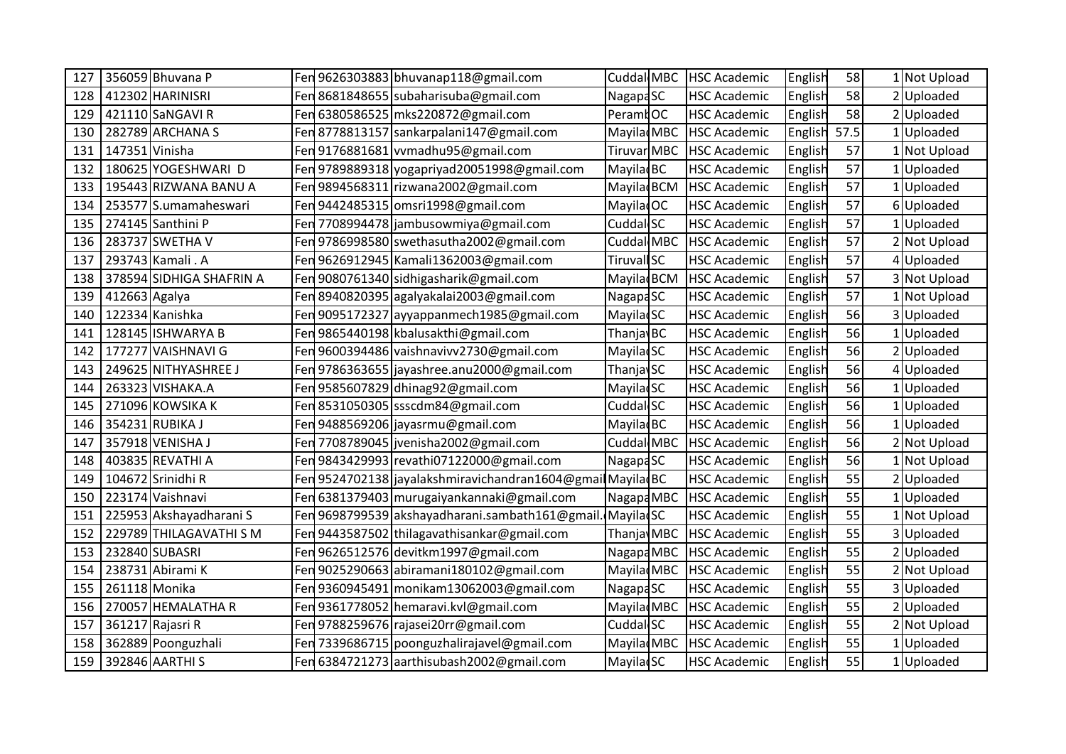| 127 |                | 356059 Bhuvana P         |      | Fen 9626303883 bhuvanap118@gmail.com                  | Cuddal MBC             | <b>HSC Academic</b> | English | 58   | Not Upload   |
|-----|----------------|--------------------------|------|-------------------------------------------------------|------------------------|---------------------|---------|------|--------------|
| 128 |                | 412302 HARINISRI         | Fen  | 8681848655 subaharisuba@gmail.com                     | <b>NagapaSC</b>        | <b>HSC Academic</b> | English | 58   | 2 Uploaded   |
| 129 |                | 421110 SaNGAVI R         | Fen  | 6380586525 mks220872@gmail.com                        | PeramtOC               | <b>HSC Academic</b> | English | 58   | 2 Uploaded   |
| 130 |                | 282789 ARCHANA S         | Fen  | 8778813157 sankarpalani147@gmail.com                  | Mayila MBC             | <b>HSC Academic</b> | English | 57.5 | Uploaded     |
| 131 | 147351 Vinisha |                          |      | Fen 9176881681 vvmadhu95@gmail.com                    | Tiruvar MBC            | <b>HSC Academic</b> | English | 57   | Not Upload   |
| 132 |                | 180625 YOGESHWARI D      | Fen  | 9789889318 yogapriyad 20051998@gmail.com              | Mayila BC              | <b>HSC Academic</b> | English | 57   | Uploaded     |
| 133 |                | 195443 RIZWANA BANU A    |      | Fen 9894568311 rizwana2002@gmail.com                  | Mayilad BCM            | <b>HSC Academic</b> | English | 57   | 1 Uploaded   |
| 134 |                | 253577 S.umamaheswari    |      | Fen 9442485315 omsri1998@gmail.com                    | Mayilad <sub>OC</sub>  | <b>HSC Academic</b> | English | 57   | 6Uploaded    |
| 135 |                | 274145 Santhini P        | Fenl | 7708994478 jambusowmiya@gmail.com                     | Cuddal <sub>SC</sub>   | <b>HSC Academic</b> | English | 57   | Uploaded     |
| 136 |                | 283737 SWETHA V          | Fen  | 9786998580 swethasutha2002@gmail.com                  | Cuddal MBC             | <b>HSC Academic</b> | English | 57   | 2 Not Upload |
| 137 |                | 293743 Kamali . A        |      | Fen 9626912945 Kamali1362003@gmail.com                | <b>Tiruvall SC</b>     | <b>HSC Academic</b> | English | 57   | 4 Uploaded   |
| 138 |                | 378594 SIDHIGA SHAFRIN A | Fen  | 9080761340 sidhigasharik@gmail.com                    | Mayilad BCM            | <b>HSC Academic</b> | English | 57   | 3 Not Upload |
| 139 | 412663 Agalya  |                          | Fen  | 8940820395 agalyakalai2003@gmail.com                  | Nagapa <sub>SC</sub>   | <b>HSC Academic</b> | English | 57   | Not Upload   |
| 140 |                | 122334 Kanishka          | Fen  | 9095172327 ayyappanmech1985@gmail.com                 | <b>MayiladSC</b>       | <b>HSC Academic</b> | English | 56   | 3 Uploaded   |
| 141 |                | 128145 ISHWARYA B        | Fen  | 9865440198 kbalusakthi@gmail.com                      | ThanjavBC              | <b>HSC Academic</b> | English | 56   | 1 Uploaded   |
| 142 |                | 177277 VAISHNAVI G       | Fen  | 9600394486 vaishnavivv2730@gmail.com                  | <b>MayiladSC</b>       | <b>HSC Academic</b> | English | 56   | Uploaded     |
| 143 |                | 249625 NITHYASHREE J     |      | Fen 9786363655   jayashree.anu2000@gmail.com          | Thanjav <sub>SC</sub>  | <b>HSC Academic</b> | English | 56   | 4 Uploaded   |
| 144 |                | 263323 VISHAKA.A         | Fenl | 9585607829 dhinag92@gmail.com                         | <b>MayilacSC</b>       | <b>HSC Academic</b> | English | 56   | 1 Uploaded   |
| 145 |                | 271096 KOWSIKA K         | Fen  | 8531050305 ssscdm84@gmail.com                         | Cuddal SC              | <b>HSC Academic</b> | English | 56   | Uploaded     |
| 146 |                | 354231 RUBIKA J          | Fen  | 9488569206 jayasrmu@gmail.com                         | <b>MayiladBC</b>       | <b>HSC Academic</b> | English | 56   | Uploaded     |
| 147 |                | 357918 VENISHA J         | Fen  | 7708789045 jvenisha2002@gmail.com                     | Cuddal MBC             | <b>HSC Academic</b> | English | 56   | 2 Not Upload |
| 148 |                | 403835 REVATHI A         |      | Fen 9843429993 revathi07122000@gmail.com              | Nagapa <sub>SC</sub>   | <b>HSC Academic</b> | English | 56   | 1 Not Upload |
| 149 |                | 104672 Srinidhi R        | Fen  | 9524702138 jayalakshmiravichandran1604@gmailMayiladBC |                        | <b>HSC Academic</b> | English | 55   | 2Uploaded    |
| 150 |                | 223174 Vaishnavi         | Fenl | 6381379403 murugaiyankannaki@gmail.com                | Nagapa MBC             | <b>HSC Academic</b> | English | 55   | Uploaded     |
| 151 |                | 225953 Akshayadharani S  | Fen  | 9698799539 akshayadharani.sambath161@gmail.           | Mayilad SC             | <b>HSC Academic</b> | English | 55   | Not Upload   |
| 152 |                | 229789 THILAGAVATHI S M  |      | Fen 9443587502 thilagavathisankar@gmail.com           | Thanja MBC             | <b>HSC Academic</b> | English | 55   | 3 Uploaded   |
| 153 |                | 232840 SUBASRI           | Fen  | 9626512576 devitkm1997@gmail.com                      | Nagapa MBC             | <b>HSC Academic</b> | English | 55   | Uploaded     |
| 154 |                | 238731 Abirami K         | Fen  | 9025290663 abiramani180102@gmail.com                  | Mayila MBC             | <b>HSC Academic</b> | English | 55   | 2 Not Upload |
| 155 | 261118 Monika  |                          | Fen  | 9360945491 monikam13062003@gmail.com                  | <b>NagapaSC</b>        | <b>HSC Academic</b> | English | 55   | 3 Uploaded   |
| 156 |                | 270057 HEMALATHA R       |      | Fen 9361778052 hemaravi.kvl@gmail.com                 | Mayila MBC             | <b>HSC Academic</b> | English | 55   | 2 Uploaded   |
| 157 |                | 361217 Rajasri R         | Fen  | 9788259676 rajasei20rr@gmail.com                      | Cuddal SC              | <b>HSC Academic</b> | English | 55   | Not Upload   |
| 158 |                | 362889 Poonguzhali       | Fen  | 7339686715 poonguzhalirajavel@gmail.com               | Mayilad <sub>MBC</sub> | <b>HSC Academic</b> | English | 55   | Uploaded     |
| 159 |                | 392846 AARTHI S          | Fen  | 6384721273 aarthisubash2002@gmail.com                 | MayiladSC              | <b>HSC Academic</b> | English | 55   | 1 Uploaded   |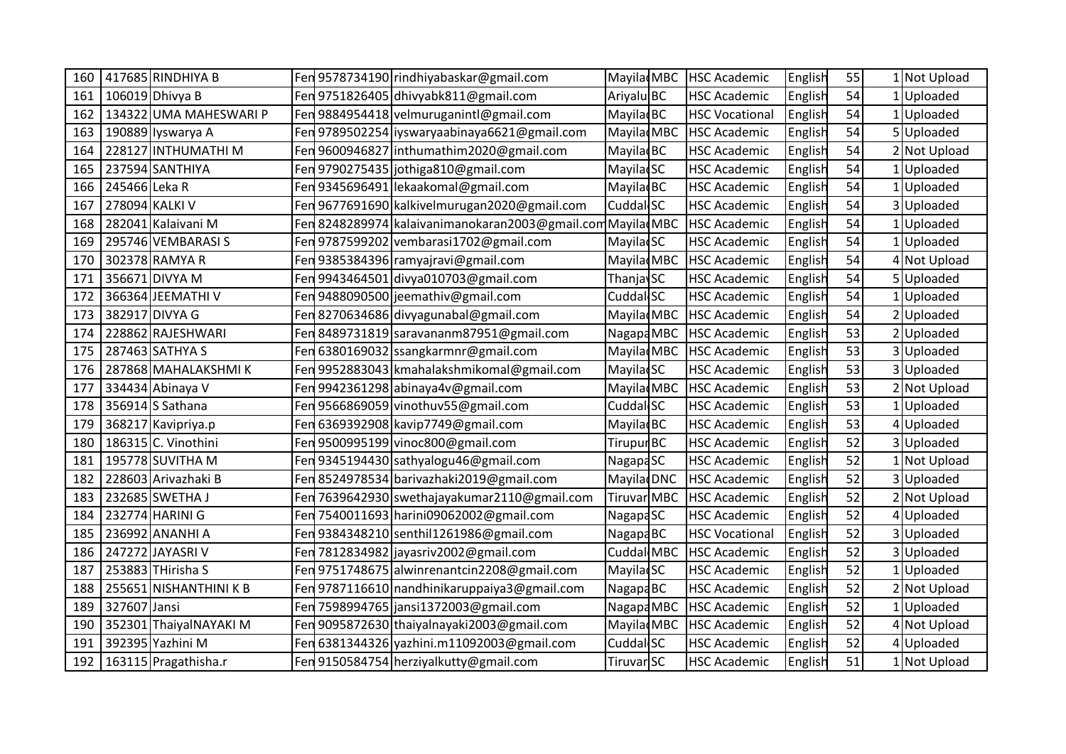| 160 | 417685 RINDHIYA B      |     | Fen 9578734190 rindhiyabaskar@gmail.com                     | Mayila MBC             | <b>HSC Academic</b>   | English | 55 | Not Upload   |
|-----|------------------------|-----|-------------------------------------------------------------|------------------------|-----------------------|---------|----|--------------|
| 161 | 106019 Dhivya B        |     | Fen 9751826405 dhivyabk811@gmail.com                        | Ariyalu BC             | <b>HSC Academic</b>   | English | 54 | Uploaded     |
| 162 | 134322 UMA MAHESWARI P |     | Fen 9884954418 velmuruganint @gmail.com                     | Mayila BC              | <b>HSC Vocational</b> | English | 54 | 1 Uploaded   |
| 163 | 190889 Iyswarya A      |     | Fen 9789502254 liyswaryaabinaya6621@gmail.com               | Mayila MBC             | <b>HSC Academic</b>   | English | 54 | 5Uploaded    |
| 164 | 228127 INTHUMATHI M    |     | Fen 9600946827 inthumathim2020@gmail.com                    | Mayila BC              | <b>HSC Academic</b>   | English | 54 | Not Upload   |
| 165 | 237594 SANTHIYA        |     | Fen 9790275435 jothiga810@gmail.com                         | Mayila SC              | <b>HSC Academic</b>   | English | 54 | Uploaded     |
| 166 | 245466 Leka R          |     | Fen 9345696491 lekaakomal@gmail.com                         | <b>MayiladBC</b>       | <b>HSC Academic</b>   | English | 54 | 1 Uploaded   |
| 167 | 278094 KALKI V         |     | Fen 9677691690 kalkivelmurugan2020@gmail.com                | Cuddal SC              | <b>HSC Academic</b>   | English | 54 | 3Uploaded    |
| 168 | 282041 Kalaivani M     |     | Fen 8248289974 kalaivanimanokaran2003@gmail.com Mayilad MBC |                        | <b>HSC Academic</b>   | English | 54 | Uploaded     |
| 169 | 295746 VEMBARASI S     |     | Fen 9787599202 vembarasi1702@gmail.com                      | <b>MayilacSC</b>       | <b>HSC Academic</b>   | English | 54 | Uploaded     |
| 170 | 302378 RAMYA R         |     | Fen 9385384396 ramyajravi@gmail.com                         | Mayila MBC             | <b>HSC Academic</b>   | English | 54 | 4 Not Upload |
| 171 | 356671 DIVYA M         |     | Fen 9943464501 divya010703@gmail.com                        | <b>ThanjavSC</b>       | <b>HSC Academic</b>   | English | 54 | 5Uploaded    |
| 172 | 366364 JEEMATHI V      |     | Fen 9488090500 jeemathiv@gmail.com                          | Cuddal SC              | <b>HSC Academic</b>   | English | 54 | Uploaded     |
| 173 | 382917 DIVYA G         |     | Fen 8270634686 divyagunabal@gmail.com                       | Mayilad MBC            | <b>HSC Academic</b>   | English | 54 | 2 Uploaded   |
| 174 | 228862 RAJESHWARI      |     | Fen 8489731819 saravananm87951@gmail.com                    | Nagapa MBC             | <b>HSC Academic</b>   | English | 53 | 2 Uploaded   |
| 175 | 287463 SATHYA S        |     | Fen 6380169032 ssangkarmnr@gmail.com                        | Mayila MBC             | <b>HSC Academic</b>   | English | 53 | 3 Uploaded   |
| 176 | 287868 MAHALAKSHMIK    |     | Fen 9952883043 kmahalakshmikomal@gmail.com                  | <b>MayilacSC</b>       | <b>HSC Academic</b>   | English | 53 | 3 Uploaded   |
| 177 | 334434 Abinaya V       |     | Fen 9942361298 abinaya4v@gmail.com                          | Mayilad <sub>MBC</sub> | <b>HSC Academic</b>   | English | 53 | 2 Not Upload |
| 178 | 356914 S Sathana       |     | Fen 9566869059 vinothuv55@gmail.com                         | Cuddal SC              | <b>HSC Academic</b>   | English | 53 | Uploaded     |
| 179 | 368217 Kavipriya.p     |     | Fen 6369392908 kavip7749@gmail.com                          | Mayila BC              | <b>HSC Academic</b>   | English | 53 | 4Uploaded    |
| 180 | 186315 C. Vinothini    |     | Fen 9500995199 vinoc800@gmail.com                           | <b>Tirupur</b> BC      | <b>HSC Academic</b>   | English | 52 | 3Uploaded    |
| 181 | 195778 SUVITHA M       |     | Fen 9345194430 sathyalogu46@gmail.com                       | Nagapa <sub>SC</sub>   | <b>HSC Academic</b>   | English | 52 | 1 Not Upload |
| 182 | 228603 Arivazhaki B    |     | Fen 8524978534 barivazhaki 2019@gmail.com                   | Mayilad DNC            | <b>HSC Academic</b>   | English | 52 | 3 Uploaded   |
| 183 | 232685 SWETHA J        |     | Fen 7639642930 swethajayakumar2110@gmail.com                | <b>Tiruvar MBC</b>     | <b>HSC Academic</b>   | English | 52 | Not Upload   |
| 184 | 232774 HARINI G        |     | Fen 7540011693 harini09062002@gmail.com                     | <b>NagapaSC</b>        | <b>HSC Academic</b>   | English | 52 | 4Uploaded    |
| 185 | 236992 ANANHI A        |     | Fen 9384348210 senthil 1261986@gmail.com                    | Nagapa <sub>BC</sub>   | <b>HSC Vocational</b> | English | 52 | 3 Uploaded   |
| 186 | 247272 JAYASRI V       |     | Fen 7812834982 jayasriv2002@gmail.com                       | Cuddal MBC             | <b>HSC Academic</b>   | English | 52 | 3Uploaded    |
| 187 | 253883 THirisha S      |     | Fen 9751748675 alwinrenantcin2208@gmail.com                 | Mayila SC              | <b>HSC Academic</b>   | English | 52 | Uploaded     |
| 188 | 255651 NISHANTHINI K B |     | Fen 9787116610 nandhinikaruppaiya3@gmail.com                | NagapaBC               | <b>HSC Academic</b>   | English | 52 | 2 Not Upload |
| 189 | 327607 Jansi           |     | Fen 7598994765 jansi1372003@gmail.com                       | Nagapa MBC             | <b>HSC Academic</b>   | English | 52 | 1 Uploaded   |
| 190 | 352301 ThaiyalNAYAKI M | Fen | 9095872630 thaiyalnayaki2003@gmail.com                      | Mayila MBC             | <b>HSC Academic</b>   | English | 52 | 4 Not Upload |
| 191 | 392395 Yazhini M       |     | Fen 6381344326 yazhini.m11092003@gmail.com                  | Cuddal SC              | <b>HSC Academic</b>   | English | 52 | 4Uploaded    |
| 192 | 163115 Pragathisha.r   |     | Fen 9150584754 herziyalkutty@gmail.com                      | Tiruvar SC             | <b>HSC Academic</b>   | English | 51 | 1 Not Upload |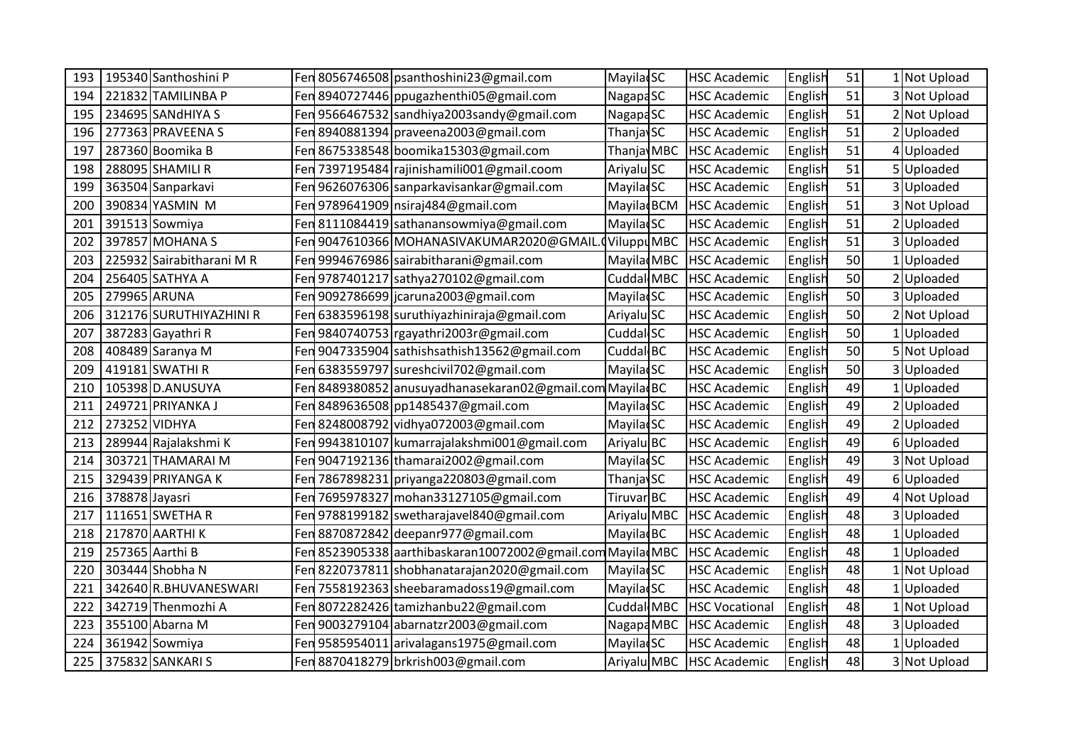| 193 | 195340 Santhoshini P     |     | Fen 8056746508 psanthoshini23@gmail.com                    | <b>Mayila</b> SC       | <b>HSC Academic</b>   | English | 51 | Not Upload   |
|-----|--------------------------|-----|------------------------------------------------------------|------------------------|-----------------------|---------|----|--------------|
| 194 | 221832 TAMILINBA P       |     | Fen 8940727446 ppugazhenthi05@gmail.com                    | Nagapa <sub>SC</sub>   | <b>HSC Academic</b>   | English | 51 | 3 Not Upload |
| 195 | 234695 SANdHIYA S        |     | Fen 9566467532 sandhiya 2003 sandy@gmail.com               | <b>NagapaSC</b>        | <b>HSC Academic</b>   | English | 51 | 2 Not Upload |
| 196 | 277363 PRAVEENA S        |     | Fen 8940881394 praveena2003@gmail.com                      | ThanjavSC              | <b>HSC Academic</b>   | English | 51 | Uploaded     |
| 197 | 287360 Boomika B         |     | Fen 8675338548 boomika15303@gmail.com                      | Thanja MBC             | <b>HSC Academic</b>   | English | 51 | 4Uploaded    |
| 198 | 288095 SHAMILI R         |     | Fen 7397195484 rajinishamili001@gmail.coom                 | Ariyalu SC             | <b>HSC Academic</b>   | English | 51 | 5Uploaded    |
| 199 | 363504 Sanparkavi        |     | Fen 9626076306 sanparkavisankar@gmail.com                  | Mayila SC              | <b>HSC Academic</b>   | English | 51 | 3 Uploaded   |
| 200 | 390834 YASMIN M          |     | Fen 9789641909   nsiraj 484@gmail.com                      | Mayilad <sub>BCM</sub> | <b>HSC Academic</b>   | English | 51 | 3 Not Upload |
| 201 | 391513 Sowmiya           |     | Fen 8111084419 sathanansowmiya@gmail.com                   | <b>MayilacSC</b>       | <b>HSC Academic</b>   | English | 51 | 2 Uploaded   |
| 202 | 397857 MOHANA S          |     | Fen 9047610366 MOHANASIVAKUMAR2020@GMAIL                   | Viluppu MBC            | <b>HSC Academic</b>   | English | 51 | 3 Uploaded   |
| 203 | 225932 Sairabitharani MR |     | Fen 9994676986 sairabitharani@gmail.com                    | Mayila MBC             | <b>HSC Academic</b>   | English | 50 | 1 Uploaded   |
| 204 | 256405 SATHYA A          |     | Fen 9787401217 sathya270102@gmail.com                      | Cuddal MBC             | <b>HSC Academic</b>   | English | 50 | 2 Uploaded   |
| 205 | 279965 ARUNA             |     | Fen 9092786699 jcaruna2003@gmail.com                       | <b>Mayila</b> SC       | <b>HSC Academic</b>   | English | 50 | 3 Uploaded   |
| 206 | 312176 SURUTHIYAZHINI R  |     | Fen 6383596198 suruthiyazhiniraja@gmail.com                | Ariyalu SC             | <b>HSC Academic</b>   | English | 50 | 2 Not Upload |
| 207 | 387283 Gayathri R        |     | Fen 9840740753 rgayathri2003r@gmail.com                    | Cuddal SC              | <b>HSC Academic</b>   | English | 50 | Uploaded     |
| 208 | 408489 Saranya M         |     | Fen 9047335904 sathishsathish13562@gmail.com               | Cuddal BC              | <b>HSC Academic</b>   | English | 50 | 5 Not Upload |
| 209 | 419181 SWATHI R          |     | Fen 6383559797 sureshcivil 702@gmail.com                   | Mayila SC              | <b>HSC Academic</b>   | English | 50 | 3 Uploaded   |
| 210 | 105398 D.ANUSUYA         |     | Fen 8489380852 anusuyadhanasekaran02@gmail.com MayiladBC   |                        | <b>HSC Academic</b>   | English | 49 | 1 Uploaded   |
| 211 | 249721 PRIYANKA J        |     | Fen 8489636508 pp1485437@gmail.com                         | <b>MayiladSC</b>       | <b>HSC Academic</b>   | English | 49 | 2Uploaded    |
| 212 | 273252 VIDHYA            |     | Fen 8248008792 vidhya072003@gmail.com                      | <b>MayilacSC</b>       | <b>HSC Academic</b>   | English | 49 | 2Uploaded    |
| 213 | 289944 Rajalakshmi K     |     | Fen 9943810107 kumarrajalakshmi001@gmail.com               | Ariyalu BC             | <b>HSC Academic</b>   | English | 49 | 6Uploaded    |
| 214 | 303721 THAMARAI M        |     | Fen 9047192136 thamarai2002@gmail.com                      | <b>Mayila</b> SC       | <b>HSC Academic</b>   | English | 49 | 3 Not Upload |
| 215 | 329439 PRIYANGA K        |     | Fen 7867898231 priyanga220803@gmail.com                    | <b>ThanjavSC</b>       | <b>HSC Academic</b>   | English | 49 | 6Uploaded    |
| 216 | 378878 Jayasri           |     | Fen 7695978327 mohan 33127105@gmail.com                    | Tiruvar BC             | <b>HSC Academic</b>   | English | 49 | 4 Not Upload |
| 217 | 111651 SWETHA R          |     | Fen 9788199182 swetharajavel840@gmail.com                  | Ariyalu MBC            | <b>HSC Academic</b>   | English | 48 | 3Uploaded    |
| 218 | 217870 AARTHI K          |     | Fen 8870872842 deepanr977@gmail.com                        | Mayila BC              | <b>HSC Academic</b>   | English | 48 | 1 Uploaded   |
| 219 | 257365 Aarthi B          |     | Fen 8523905338 aarthibaskaran10072002@gmail.com MayiladMBC |                        | <b>HSC Academic</b>   | English | 48 | Uploaded     |
| 220 | 303444 Shobha N          | Fen | 8220737811 shobhanatarajan 2020@gmail.com                  | <b>MayilacSC</b>       | <b>HSC Academic</b>   | English | 48 | Not Upload   |
| 221 | 342640 R.BHUVANESWARI    |     | Fen 7558192363 sheebaramadoss19@gmail.com                  | <b>MayilacSC</b>       | <b>HSC Academic</b>   | English | 48 | 1 Uploaded   |
| 222 | 342719 Thenmozhi A       |     | Fen 8072282426 tamizhanbu22@gmail.com                      | Cuddal MBC             | <b>HSC Vocational</b> | English | 48 | 1 Not Upload |
| 223 | 355100 Abarna M          |     | Fen 9003279104 abarnatzr2003@gmail.com                     | Nagapa MBC             | <b>HSC Academic</b>   | English | 48 | 3 Uploaded   |
| 224 | 361942 Sowmiya           |     | Fen 9585954011 arivalagans1975@gmail.com                   | <b>MayiladSC</b>       | <b>HSC Academic</b>   | English | 48 | Uploaded     |
| 225 | 375832 SANKARI S         |     | Fen 8870418279 brkrish003@gmail.com                        | Ariyalu MBC            | <b>HSC Academic</b>   | English | 48 | 3 Not Upload |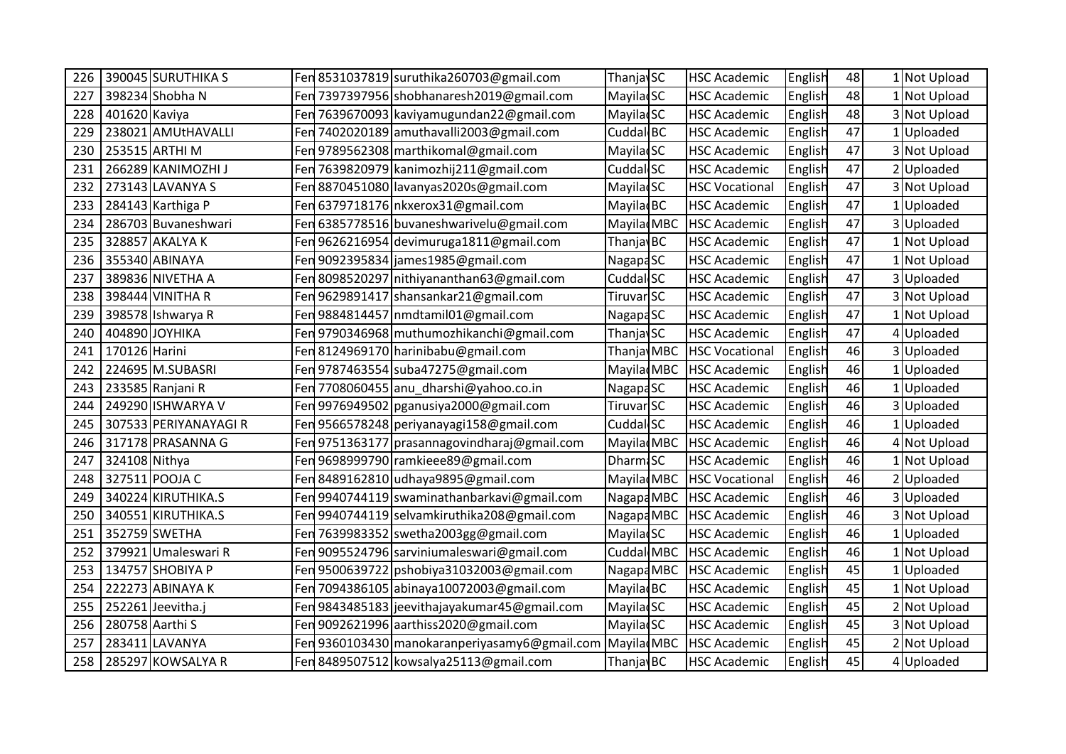| 226 | 390045 SURUTHIKA S    |  | Fen 8531037819 suruthika260703@gmail.com        | ThanjavSC              | <b>HSC Academic</b>   | English | 48 | 1 Not Upload |
|-----|-----------------------|--|-------------------------------------------------|------------------------|-----------------------|---------|----|--------------|
| 227 | 398234 Shobha N       |  | Fen 7397397956 shobhanaresh2019@gmail.com       | <b>Mayila</b> SC       | <b>HSC Academic</b>   | English | 48 | 1 Not Upload |
| 228 | 401620 Kaviya         |  | Fen 7639670093 kaviyamugundan22@gmail.com       | MayiladSC              | <b>HSC Academic</b>   | English | 48 | 3 Not Upload |
| 229 | 238021 AMUtHAVALLI    |  | Fen 7402020189 amuthavalli2003@gmail.com        | Cuddal BC              | <b>HSC Academic</b>   | English | 47 | Uploaded     |
| 230 | 253515 ARTHI M        |  | Fen 9789562308   marthikomal@gmail.com          | <b>MayilacSC</b>       | <b>HSC Academic</b>   | English | 47 | 3 Not Upload |
| 231 | 266289 KANIMOZHI J    |  | Fen 7639820979 kanimozhij211@gmail.com          | Cuddal SC              | <b>HSC Academic</b>   | English | 47 | Uploaded     |
| 232 | 273143 LAVANYA S      |  | Fen 8870451080 lavanyas2020s@gmail.com          | <b>Mayila</b> SC       | <b>HSC Vocational</b> | English | 47 | 3 Not Upload |
| 233 | 284143 Karthiga P     |  | Fen 6379718176   nkxerox31@gmail.com            | Mayilad <sub>BC</sub>  | <b>HSC Academic</b>   | English | 47 | Uploaded     |
| 234 | 286703 Buvaneshwari   |  | Fen 6385778516 buvaneshwarivelu@gmail.com       | MayiladMBC             | <b>HSC Academic</b>   | English | 47 | 3Uploaded    |
| 235 | 328857 AKALYA K       |  | Fen 9626216954 devimuruga1811@gmail.com         | Thanjav <sub>BC</sub>  | <b>HSC Academic</b>   | English | 47 | 1 Not Upload |
| 236 | 355340 ABINAYA        |  | Fen 9092395834 james1985@gmail.com              | NagapaSC               | <b>HSC Academic</b>   | English | 47 | 1 Not Upload |
| 237 | 389836 NIVETHA A      |  | Fen 8098520297 nithiyananthan63@gmail.com       | Cuddal SC              | <b>HSC Academic</b>   | English | 47 | 3Uploaded    |
| 238 | 398444 VINITHA R      |  | Fen 9629891417 shansankar 21@gmail.com          | Tiruvar SC             | <b>HSC Academic</b>   | English | 47 | 3 Not Upload |
| 239 | 398578 Ishwarya R     |  | Fen 9884814457   nmdtamil01@gmail.com           | NagapaSC               | <b>HSC Academic</b>   | English | 47 | 1 Not Upload |
| 240 | 404890 JOYHIKA        |  | Fen 9790346968 muthumozhikanchi@gmail.com       | ThanjavSC              | <b>HSC Academic</b>   | English | 47 | 4 Uploaded   |
| 241 | 170126 Harini         |  | Fen 8124969170 harinibabu@gmail.com             | Thanja MBC             | <b>HSC Vocational</b> | English | 46 | Uploaded     |
| 242 | 224695 M.SUBASRI      |  | Fen 9787463554 suba47275@gmail.com              | Mayila MBC             | <b>HSC Academic</b>   | English | 46 | Uploaded     |
| 243 | 233585 Ranjani R      |  | Fen 7708060455  anu_dharshi@yahoo.co.in         | NagapaSC               | <b>HSC Academic</b>   | English | 46 | 1 Uploaded   |
| 244 | 249290 ISHWARYA V     |  | Fen 9976949502 pganusiya 2000@gmail.com         | Tiruvar SC             | <b>HSC Academic</b>   | English | 46 | Uploaded     |
| 245 | 307533 PERIYANAYAGI R |  | Fen 9566578248   periyanayagi 158@gmail.com     | Cuddal SC              | <b>HSC Academic</b>   | English | 46 | LUploaded    |
| 246 | 317178 PRASANNA G     |  | Fen 9751363177 prasannagovindharaj@gmail.com    | Mayila MBC             | <b>HSC Academic</b>   | English | 46 | 4 Not Upload |
| 247 | 324108 Nithya         |  | Fen 9698999790 ramkieee89@gmail.com             | <b>Dharm</b> &C        | <b>HSC Academic</b>   | English | 46 | 1 Not Upload |
| 248 | 327511 POOJA C        |  | Fen 8489162810 udhaya9895@gmail.com             | Mayila MBC             | <b>HSC Vocational</b> | English | 46 | Uploaded     |
| 249 | 340224 KIRUTHIKA.S    |  | Fen 9940744119   swaminathanbarkavi@gmail.com   | Nagapa MBC             | <b>HSC Academic</b>   | English | 46 | Uploaded     |
| 250 | 340551 KIRUTHIKA.S    |  | Fen 9940744119 selvamkiruthika208@gmail.com     | Nagapa MBC             | <b>HSC Academic</b>   | English | 46 | 3 Not Upload |
| 251 | 352759 SWETHA         |  | Fen 7639983352 swetha2003gg@gmail.com           | Mayila SC              | <b>HSC Academic</b>   | English | 46 | 1 Uploaded   |
| 252 | 379921 Umaleswari R   |  | Fen 9095524796 sarviniumaleswari@gmail.com      | Cuddal MBC             | <b>HSC Academic</b>   | English | 46 | Not Upload   |
| 253 | 134757 SHOBIYA P      |  | Fen 9500639722   pshobiya31032003@gmail.com     | Nagapa MBC             | <b>HSC Academic</b>   | English | 45 | 1 Uploaded   |
| 254 | 222273 ABINAYA K      |  | Fen 7094386105 abinaya10072003@gmail.com        | Mayila BC              | <b>HSC Academic</b>   | English | 45 | 1 Not Upload |
| 255 | 252261 Jeevitha.j     |  | Fen 9843485183 jeevithajayakumar45@gmail.com    | <b>Mayila</b> SC       | <b>HSC Academic</b>   | English | 45 | 2 Not Upload |
| 256 | 280758 Aarthi S       |  | Fen 9092621996 aarthiss 2020@gmail.com          | <b>MayiladSC</b>       | <b>HSC Academic</b>   | English | 45 | 3 Not Upload |
| 257 | 283411 LAVANYA        |  | Fen 9360103430 manokaran periyasam y6@gmail.com | Mayilad <sub>MBC</sub> | <b>HSC Academic</b>   | English | 45 | 2 Not Upload |
| 258 | 285297 KOWSALYA R     |  | Fen 8489507512 kowsalya25113@gmail.com          | Thanjav <sub>BC</sub>  | <b>HSC Academic</b>   | English | 45 | 4 Uploaded   |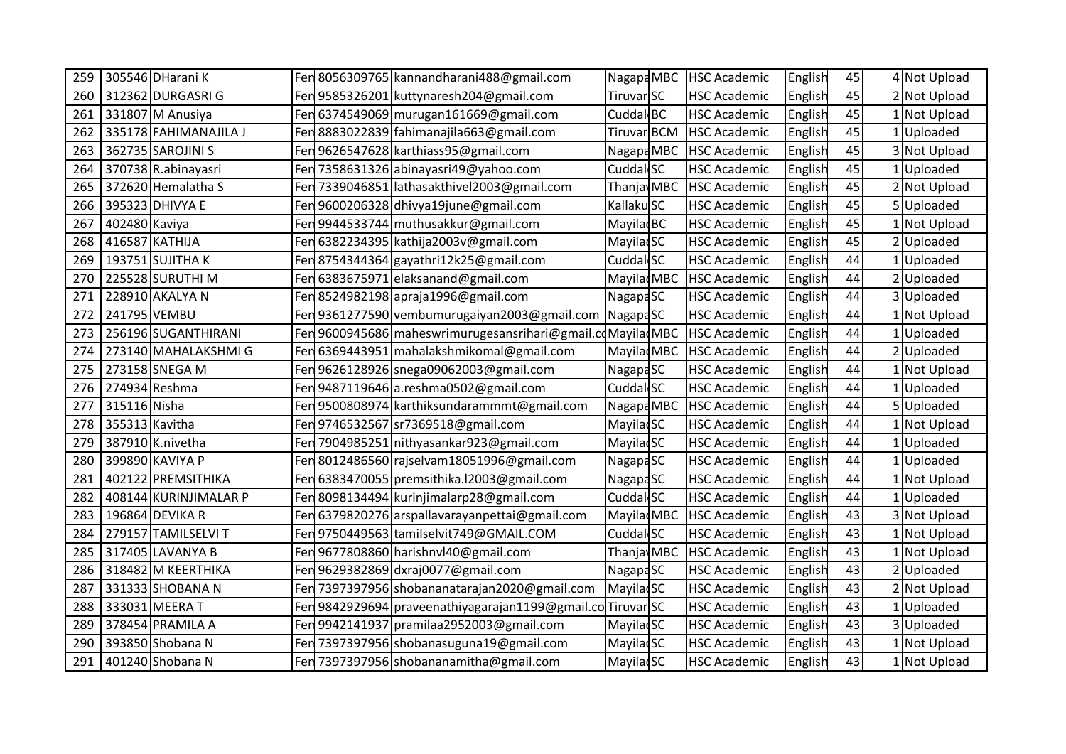| 259 |                | 305546 DHarani K      |     | Fen 8056309765 kannandharani488@gmail.com                    | Nagapa MBC             | <b>HSC Academic</b> | English | 45 | 4 Not Upload |
|-----|----------------|-----------------------|-----|--------------------------------------------------------------|------------------------|---------------------|---------|----|--------------|
| 260 |                | 312362 DURGASRI G     |     | Fen 9585326201 kuttynaresh204@gmail.com                      | Tiruvar SC             | <b>HSC Academic</b> | English | 45 | 2 Not Upload |
| 261 |                | 331807 M Anusiya      |     | Fen 6374549069 murugan161669@gmail.com                       | Cuddal BC              | <b>HSC Academic</b> | English | 45 | 1 Not Upload |
| 262 |                | 335178 FAHIMANAJILA J |     | Fen 8883022839   fahimanajila663@gmail.com                   | Tiruvar BCM            | <b>HSC Academic</b> | English | 45 | Uploaded     |
| 263 |                | 362735 SAROJINI S     |     | Fen 9626547628 karthiass95@gmail.com                         | Nagapa MBC             | <b>HSC Academic</b> | English | 45 | 3 Not Upload |
| 264 |                | 370738 R.abinayasri   |     | Fen 7358631326 abinayasri49@yahoo.com                        | Cuddal SC              | <b>HSC Academic</b> | English | 45 | 1 Uploaded   |
| 265 |                | 372620 Hemalatha S    |     | Fen 7339046851 lathasakthivel2003@gmail.com                  | Thanjav <sub>MBC</sub> | <b>HSC Academic</b> | English | 45 | 2 Not Upload |
| 266 |                | 395323 DHIVYA E       | Fen | 9600206328 dhivya19june@gmail.com                            | Kallaku SC             | <b>HSC Academic</b> | English | 45 | 5 Uploaded   |
| 267 | 402480 Kaviya  |                       |     | Fen 9944533744 muthusakkur@gmail.com                         | Mayilad <sub>BC</sub>  | <b>HSC Academic</b> | English | 45 | 1 Not Upload |
| 268 |                | 416587 KATHIJA        |     | Fen 6382234395 kathija2003v@gmail.com                        | <b>MayiladSC</b>       | <b>HSC Academic</b> | English | 45 | Uploaded     |
| 269 |                | 193751 SUJITHA K      |     | Fen 8754344364 gayathri12k25@gmail.com                       | Cuddal SC              | <b>HSC Academic</b> | English | 44 | 1 Uploaded   |
| 270 |                | 225528 SURUTHI M      |     | Fen 6383675971 elaksanand@gmail.com                          | MayiladMBC             | <b>HSC Academic</b> | English | 44 | Uploaded     |
| 271 |                | 228910 AKALYA N       | Fen | 8524982198 apraja1996@gmail.com                              | Nagapa <sub>SC</sub>   | <b>HSC Academic</b> | English | 44 | 3Uploaded    |
| 272 | 241795 VEMBU   |                       |     | Fen 9361277590 vembumurugaiyan2003@gmail.com                 | NagapaSC               | <b>HSC Academic</b> | English | 44 | 1 Not Upload |
| 273 |                | 256196 SUGANTHIRANI   |     | Fen 9600945686   maheswrimurugesansrihari@gmail.cdMayiladMBC |                        | <b>HSC Academic</b> | English | 44 | 1 Uploaded   |
| 274 |                | 273140 MAHALAKSHMI G  | Fen | 6369443951 mahalakshmikomal@gmail.com                        | Mayila MBC             | <b>HSC Academic</b> | English | 44 | Uploaded     |
| 275 |                | 273158 SNEGA M        |     | Fen 9626128926   snega09062003@gmail.com                     | <b>NagapaSC</b>        | <b>HSC Academic</b> | English | 44 | 1 Not Upload |
| 276 |                | 274934 Reshma         |     | Fen 9487119646 a.reshma0502@gmail.com                        | Cuddal <sub>SC</sub>   | <b>HSC Academic</b> | English | 44 | 1 Uploaded   |
| 277 | 315116 Nisha   |                       |     | Fen 9500808974 karthiksundarammmt@gmail.com                  | Nagapa MBC             | <b>HSC Academic</b> | English | 44 | 5Uploaded    |
| 278 | 355313 Kavitha |                       |     | Fen 9746532567 sr7369518@gmail.com                           | <b>MayiladSC</b>       | <b>HSC Academic</b> | English | 44 | LNot Upload  |
| 279 |                | 387910 K.nivetha      | Fen | 7904985251 nithyasankar923@gmail.com                         | <b>MayiladSC</b>       | <b>HSC Academic</b> | English | 44 | Uploaded     |
| 280 |                | 399890 KAVIYA P       |     | Fen 8012486560 rajselvam18051996@gmail.com                   | <b>NagapaSC</b>        | <b>HSC Academic</b> | English | 44 | 1 Uploaded   |
| 281 |                | 402122 PREMSITHIKA    | Fen | 6383470055 premsithika. 12003@gmail.com                      | Nagapa <sub>SC</sub>   | <b>HSC Academic</b> | English | 44 | 1 Not Upload |
| 282 |                | 408144 KURINJIMALAR P |     | Fen 8098134494   kurinjimalarp28@gmail.com                   | Cuddal <sub>SC</sub>   | <b>HSC Academic</b> | English | 44 | Uploaded     |
| 283 |                | 196864 DEVIKA R       |     | Fen 6379820276 arspallavarayanpettai@gmail.com               | MayiladMBC             | <b>HSC Academic</b> | English | 43 | 3 Not Upload |
| 284 |                | 279157 TAMILSELVI T   |     | Fen 9750449563 tamilselvit749@GMAIL.COM                      | Cuddal SC              | <b>HSC Academic</b> | English | 43 | 1 Not Upload |
| 285 |                | 317405 LAVANYA B      |     | Fen 9677808860 harishnvl40@gmail.com                         | Thanja MBC             | <b>HSC Academic</b> | English | 43 | 1 Not Upload |
| 286 |                | 318482 M KEERTHIKA    |     | Fen 9629382869 dxraj0077@gmail.com                           | Nagapa <sub>SC</sub>   | <b>HSC Academic</b> | English | 43 | 2Uploaded    |
| 287 |                | 331333 SHOBANA N      |     | Fen 7397397956 shobananatarajan 2020@gmail.com               | MayiladSC              | <b>HSC Academic</b> | English | 43 | 2 Not Upload |
| 288 |                | 333031 MEERA T        |     | Fen 9842929694 praveenathiyagarajan1199@gmail.co Tiruvar SC  |                        | <b>HSC Academic</b> | English | 43 | 1 Uploaded   |
| 289 |                | 378454 PRAMILA A      |     | Fen 9942141937   pramilaa 2952003@gmail.com                  | <b>MayiladSC</b>       | <b>HSC Academic</b> | English | 43 | 3Uploaded    |
| 290 |                | 393850 Shobana N      |     | Fen 7397397956 shobanasuguna19@gmail.com                     | MayiladSC              | <b>HSC Academic</b> | English | 43 | 1 Not Upload |
| 291 |                | 401240 Shobana N      |     | Fen 7397397956 shobananamitha@gmail.com                      | <b>MayiladSC</b>       | <b>HSC Academic</b> | English | 43 | 1 Not Upload |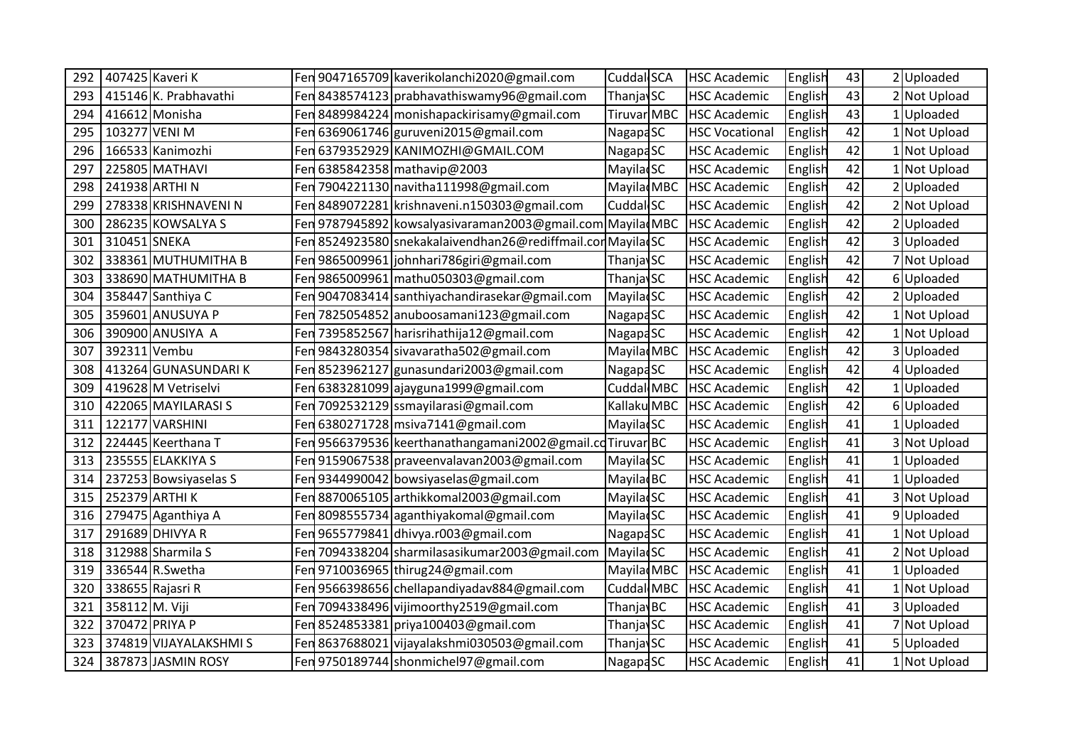| 292 | 407425 Kaveri K        |     | Fen 9047165709 kaverikolanchi 2020@gmail.com                  | Cuddal SCA            | <b>HSC Academic</b>   | English | 43 | 2 Uploaded   |
|-----|------------------------|-----|---------------------------------------------------------------|-----------------------|-----------------------|---------|----|--------------|
| 293 | 415146 K. Prabhavathi  | Fen | 8438574123 prabhavathiswamy96@gmail.com                       | Thanjav <sub>SC</sub> | <b>HSC Academic</b>   | English | 43 | 2 Not Upload |
| 294 | 416612 Monisha         |     | Fen 8489984224 monishapackirisamy@gmail.com                   | Tiruvar MBC           | <b>HSC Academic</b>   | English | 43 | 1 Uploaded   |
| 295 | 103277 VENI M          | Fen | 6369061746 guruveni2015@gmail.com                             | <b>NagapaSC</b>       | <b>HSC Vocational</b> | English | 42 | Not Upload   |
| 296 | 166533 Kanimozhi       | Fen | 6379352929 KANIMOZHI@GMAIL.COM                                | <b>NagapaSC</b>       | <b>HSC Academic</b>   | English | 42 | Not Upload   |
| 297 | 225805 MATHAVI         | Fen | 6385842358 mathavip@2003                                      | Mayila SC             | <b>HSC Academic</b>   | English | 42 | Not Upload   |
| 298 | 241938 ARTHI N         | Fen | 7904221130 navitha111998@gmail.com                            | Mayila MBC            | <b>HSC Academic</b>   | English | 42 | 2 Uploaded   |
| 299 | 278338 KRISHNAVENI N   | Fen | 8489072281 krishnaveni.n150303@gmail.com                      | Cuddal SC             | <b>HSC Academic</b>   | English | 42 | 2 Not Upload |
| 300 | 286235 KOWSALYA S      | Fen | 9787945892 kowsalyasivaraman2003@gmail.com Mayilad MBC        |                       | <b>HSC Academic</b>   | English | 42 | 2 Uploaded   |
| 301 | 310451 SNEKA           |     | Fen 8524923580 snekakalaivendhan 26@rediffmail.con Mayilad SC |                       | <b>HSC Academic</b>   | English | 42 | 3 Uploaded   |
| 302 | 338361 MUTHUMITHA B    |     | Fen 9865009961 johnhari786giri@gmail.com                      | ThanjavSC             | <b>HSC Academic</b>   | English | 42 | 7 Not Upload |
| 303 | 338690 MATHUMITHA B    | Fen | 9865009961 mathu050303@gmail.com                              | <b>ThanjavSC</b>      | <b>HSC Academic</b>   | English | 42 | 6Uploaded    |
| 304 | 358447 Santhiya C      | Fen | 9047083414 santhiyachandirasekar@gmail.com                    | <b>MayiladSC</b>      | <b>HSC Academic</b>   | English | 42 | 2 Uploaded   |
| 305 | 359601 ANUSUYA P       |     | Fen 7825054852 anuboosamani123@gmail.com                      | <b>NagapaSC</b>       | <b>HSC Academic</b>   | English | 42 | 1 Not Upload |
| 306 | 390900 ANUSIYA A       | Fen | 7395852567 harisrihathija12@gmail.com                         | <b>NagapaSC</b>       | <b>HSC Academic</b>   | English | 42 | 1 Not Upload |
| 307 | 392311 Vembu           | Fen | 9843280354 sivavaratha502@gmail.com                           | Mayila MBC            | <b>HSC Academic</b>   | English | 42 | 3Uploaded    |
| 308 | 413264 GUNASUNDARIK    | Fen | 8523962127 gunasundari2003@gmail.com                          | <b>NagapaSC</b>       | <b>HSC Academic</b>   | English | 42 | 4Uploaded    |
| 309 | 419628 M Vetriselvi    |     | Fen 6383281099 ajayguna1999@gmail.com                         | Cuddal MBC            | <b>HSC Academic</b>   | English | 42 | 1 Uploaded   |
| 310 | 422065 MAYILARASI S    | Fen | 7092532129 ssmayilarasi@gmail.com                             | Kallaku MBC           | <b>HSC Academic</b>   | English | 42 | 6Uploaded    |
| 311 | 122177 VARSHINI        | Fen | 6380271728 msiva7141@gmail.com                                | <b>Mayila</b> SC      | <b>HSC Academic</b>   | English | 41 | Uploaded     |
| 312 | 224445 Keerthana T     | Fen | 9566379536 keerthanathangamani2002@gmail.cdTiruvarBC          |                       | <b>HSC Academic</b>   | English | 41 | 3 Not Upload |
| 313 | 235555 ELAKKIYA S      |     | Fen 9159067538 praveenvalavan 2003@gmail.com                  | <b>Mayila</b> SC      | <b>HSC Academic</b>   | English | 41 | 1 Uploaded   |
| 314 | 237253 Bowsiyaselas S  | Fen | 9344990042 bowsiyaselas@gmail.com                             | Mayila BC             | <b>HSC Academic</b>   | English | 41 | Uploaded     |
| 315 | 252379 ARTHI K         | Fen | 8870065105 arthikkomal2003@gmail.com                          | <b>Mayila</b> SC      | <b>HSC Academic</b>   | English | 41 | 3 Not Upload |
| 316 | 279475 Aganthiya A     | Fen | 8098555734 aganthiyakomal@gmail.com                           | <b>MayilacSC</b>      | <b>HSC Academic</b>   | English | 41 | 9Uploaded    |
| 317 | 291689 DHIVYA R        |     | Fen 9655779841 dhivya.r003@gmail.com                          | <b>NagapaSC</b>       | <b>HSC Academic</b>   | English | 41 | 1 Not Upload |
| 318 | 312988 Sharmila S      | Fen | 7094338204 sharmilasasikumar2003@gmail.com                    | <b>MayiladSC</b>      | <b>HSC Academic</b>   | English | 41 | Not Upload   |
| 319 | 336544 R.Swetha        | Fen | 9710036965 thirug24@gmail.com                                 | Mayila MBC            | <b>HSC Academic</b>   | English | 41 | Uploaded     |
| 320 | 338655 Rajasri R       |     | Fen 9566398656 chellapandiyadav884@gmail.com                  | Cuddal MBC            | <b>HSC Academic</b>   | English | 41 | Not Upload   |
| 321 | 358112 M. Viji         |     | Fen 7094338496 vijimoorthy 2519@gmail.com                     | <b>ThanjavBC</b>      | <b>HSC Academic</b>   | English | 41 | 3 Uploaded   |
| 322 | 370472 PRIYA P         | Fen | 8524853381 priya100403@gmail.com                              | Thanjav <sub>SC</sub> | <b>HSC Academic</b>   | English | 41 | Not Upload   |
| 323 | 374819 VIJAYALAKSHMI S | Fen | 8637688021 vijayalakshmi030503@gmail.com                      | <b>ThanjavSC</b>      | <b>HSC Academic</b>   | English | 41 | 5Uploaded    |
| 324 | 387873 JASMIN ROSY     |     | Fen 9750189744 shonmichel97@gmail.com                         | Nagapa <sub>SC</sub>  | <b>HSC Academic</b>   | English | 41 | 1 Not Upload |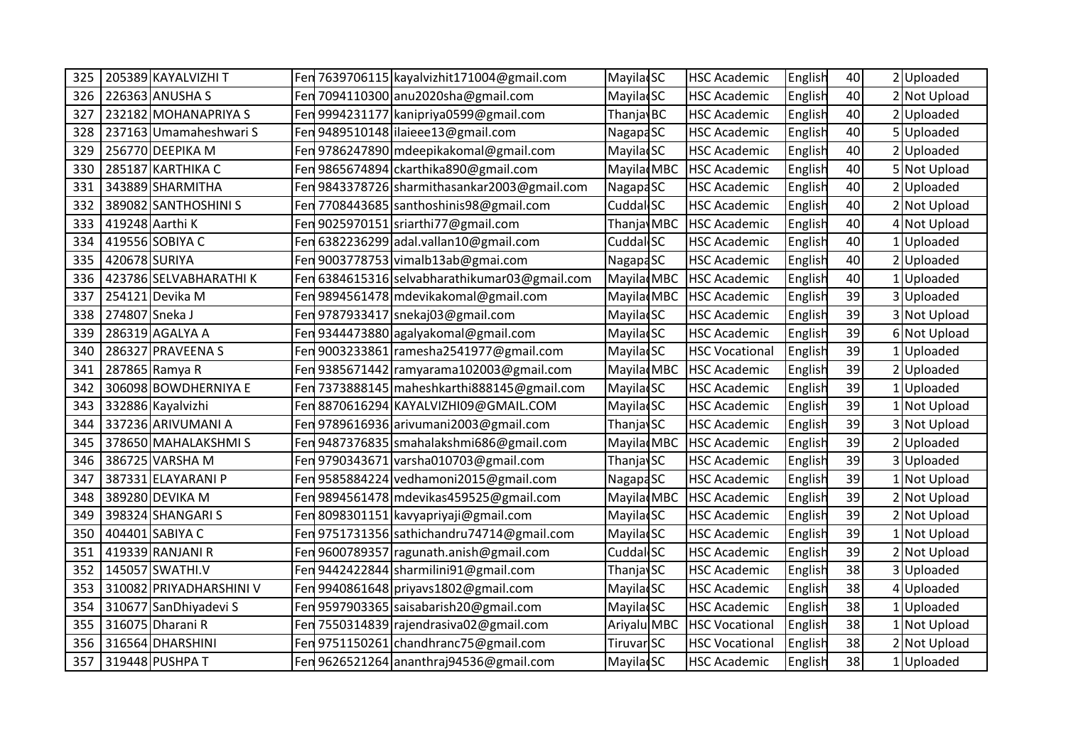| 325 | 205389 KAYALVIZHI T     |     | Fen 7639706115 kayalvizhit171004@gmail.com    | <b>MayiladSC</b>       | <b>HSC Academic</b>   | English | 40 | 2 Uploaded   |
|-----|-------------------------|-----|-----------------------------------------------|------------------------|-----------------------|---------|----|--------------|
| 326 | 226363 ANUSHA S         |     | Fen 7094110300 anu2020sha@gmail.com           | <b>MayiladSC</b>       | <b>HSC Academic</b>   | English | 40 | 2 Not Upload |
| 327 | 232182 MOHANAPRIYA S    |     | Fen 9994231177 kanipriya0599@gmail.com        | Thanjav <sub>BC</sub>  | <b>HSC Academic</b>   | English | 40 | 2Uploaded    |
| 328 | 237163 Umamaheshwari S  |     | Fen 9489510148 ilaieee13@gmail.com            | Nagapa <sub>SC</sub>   | <b>HSC Academic</b>   | English | 40 | 5Uploaded    |
| 329 | 256770 DEEPIKA M        |     | Fen 9786247890 mdeepikakomal@gmail.com        | <b>MayilacSC</b>       | <b>HSC Academic</b>   | English | 40 | 2Uploaded    |
| 330 | 285187 KARTHIKA C       |     | Fen 9865674894 ckarthika890@gmail.com         | Mayila MBC             | <b>HSC Academic</b>   | English | 40 | 5 Not Upload |
| 331 | 343889 SHARMITHA        |     | Fen 9843378726 sharmithasankar 2003@gmail.com | <b>NagapaSC</b>        | <b>HSC Academic</b>   | English | 40 | 2 Uploaded   |
| 332 | 389082 SANTHOSHINI S    |     | Fen 7708443685 santhoshinis98@gmail.com       | Cuddal SC              | <b>HSC Academic</b>   | English | 40 | 2 Not Upload |
| 333 | 419248 Aarthi K         |     | Fen 9025970151 sriarthi77@gmail.com           | Thanja MBC             | <b>HSC Academic</b>   | English | 40 | 4 Not Upload |
| 334 | 419556 SOBIYA C         |     | Fen 6382236299 adal.vallan10@gmail.com        | Cuddal SC              | <b>HSC Academic</b>   | English | 40 | Uploaded     |
| 335 | 420678 SURIYA           |     | Fen 9003778753 vimalb13ab@gmai.com            | NagapaSC               | <b>HSC Academic</b>   | English | 40 | 2 Uploaded   |
| 336 | 423786 SELVABHARATHIK   | Fen | 6384615316 selvabharathikumar03@gmail.com     | Mayilad <sub>MBC</sub> | <b>HSC Academic</b>   | English | 40 | 1 Uploaded   |
| 337 | 254121 Devika M         |     | Fen 9894561478 mdevikakomal@gmail.com         | Mayilad <sub>MBC</sub> | <b>HSC Academic</b>   | English | 39 | 3 Uploaded   |
| 338 | 274807 Sneka J          |     | Fen 9787933417 snekaj03@gmail.com             | <b>Mayila</b> SC       | <b>HSC Academic</b>   | English | 39 | 3 Not Upload |
| 339 | 286319 AGALYA A         |     | Fen 9344473880 agalyakomal@gmail.com          | <b>MayiladSC</b>       | <b>HSC Academic</b>   | English | 39 | 6 Not Upload |
| 340 | 286327 PRAVEENA S       |     | Fen 9003233861 ramesha2541977@gmail.com       | <b>MayilacSC</b>       | <b>HSC Vocational</b> | English | 39 | 1 Uploaded   |
| 341 | 287865 Ramya R          |     | Fen 9385671442 ramyarama102003@gmail.com      | Mayilad <sub>MBC</sub> | <b>HSC Academic</b>   | English | 39 | 2 Uploaded   |
| 342 | 306098 BOWDHERNIYA E    |     | Fen 7373888145 maheshkarthi 888145@gmail.com  | <b>Mayila</b> SC       | <b>HSC Academic</b>   | English | 39 | 1 Uploaded   |
| 343 | 332886 Kayalvizhi       |     | Fen 8870616294 KAYALVIZHI09@GMAIL.COM         | Mayila SC              | <b>HSC Academic</b>   | English | 39 | 1 Not Upload |
| 344 | 337236 ARIVUMANI A      |     | Fen 9789616936 arivumani2003@gmail.com        | Thanjav <sub>SC</sub>  | <b>HSC Academic</b>   | English | 39 | 3 Not Upload |
| 345 | 378650 MAHALAKSHMIS     |     | Fen 9487376835 smahalakshmi686@gmail.com      | Mayila MBC             | <b>HSC Academic</b>   | English | 39 | 2Uploaded    |
| 346 | 386725 VARSHA M         |     | Fen 9790343671 varsha010703@gmail.com         | Thanjav <sub>SC</sub>  | <b>HSC Academic</b>   | English | 39 | 3 Uploaded   |
| 347 | 387331 ELAYARANI P      |     | Fen 9585884224 vedhamoni2015@gmail.com        | NagapaSC               | <b>HSC Academic</b>   | English | 39 | 1 Not Upload |
| 348 | 389280 DEVIKA M         |     | Fen 9894561478   mdevikas 459525@gmail.com    | Mayila MBC             | <b>HSC Academic</b>   | English | 39 | 2 Not Upload |
| 349 | 398324 SHANGARI S       |     | Fen 8098301151 kavyapriyaji@gmail.com         | <b>MayiladSC</b>       | <b>HSC Academic</b>   | English | 39 | 2 Not Upload |
| 350 | 404401 SABIYA C         |     | Fen 9751731356 sathichandru74714@gmail.com    | <b>MayiladSC</b>       | <b>HSC Academic</b>   | English | 39 | 1 Not Upload |
| 351 | 419339 RANJANI R        | Fen | 9600789357 ragunath.anish@gmail.com           | Cuddal SC              | <b>HSC Academic</b>   | English | 39 | 2 Not Upload |
| 352 | 145057 SWATHI.V         | Fen | 9442422844 sharmilini91@gmail.com             | <b>ThanjavSC</b>       | <b>HSC Academic</b>   | English | 38 | 3Uploaded    |
| 353 | 310082 PRIYADHARSHINI V |     | Fen 9940861648 priyavs1802@gmail.com          | <b>MayilacSC</b>       | <b>HSC Academic</b>   | English | 38 | 4Uploaded    |
| 354 | 310677 SanDhiyadevi S   |     | Fen 9597903365 saisabarish20@gmail.com        | <b>MayiladSC</b>       | <b>HSC Academic</b>   | English | 38 | 1 Uploaded   |
| 355 | 316075 Dharani R        |     | Fen 7550314839 rajendrasiva02@gmail.com       | Ariyalu MBC            | <b>HSC Vocational</b> | English | 38 | 1 Not Upload |
| 356 | 316564 DHARSHINI        |     | Fen 9751150261 chandhranc75@gmail.com         | Tiruvar SC             | <b>HSC Vocational</b> | English | 38 | 2 Not Upload |
| 357 | 319448 PUSHPA T         |     | Fen 9626521264 ananthraj94536@gmail.com       | Mayila SC              | <b>HSC Academic</b>   | English | 38 | 1 Uploaded   |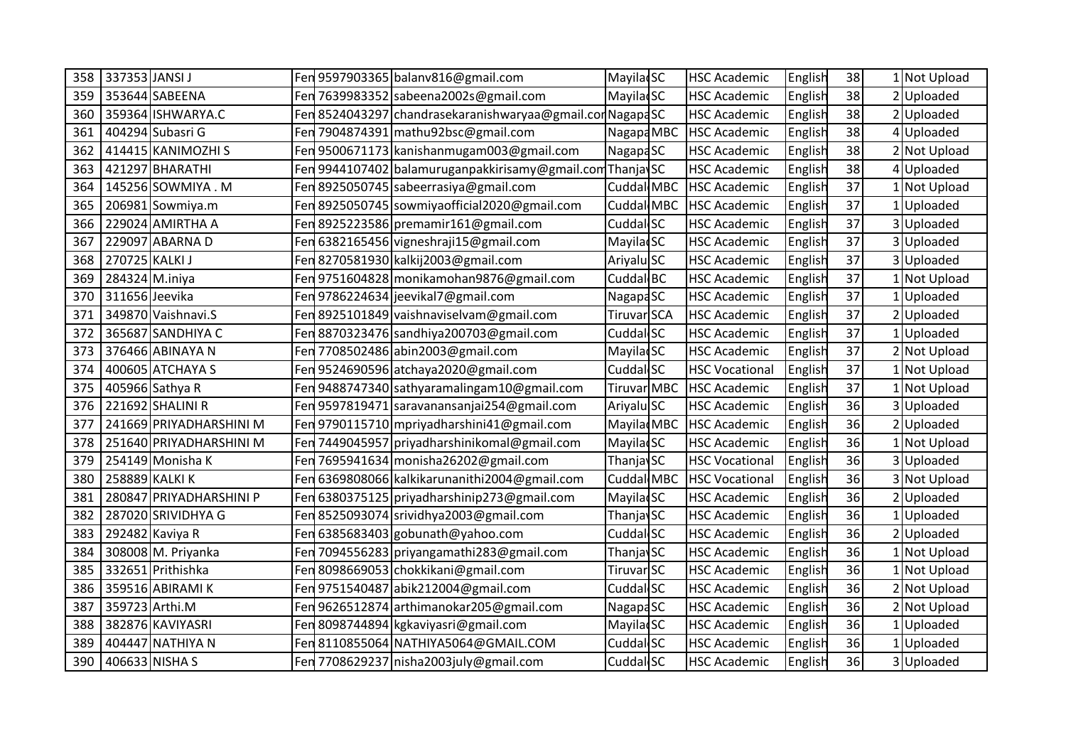| 358 | 337353 JANSI J          |     | Fen 9597903365 balanv816@gmail.com                       | Mayila SC            | <b>HSC Academic</b>   | English | 38 | 1 Not Upload |
|-----|-------------------------|-----|----------------------------------------------------------|----------------------|-----------------------|---------|----|--------------|
| 359 | 353644 SABEENA          |     | Fen 7639983352 sabeena2002s@gmail.com                    | <b>MayiladSC</b>     | <b>HSC Academic</b>   | English | 38 | 2 Uploaded   |
| 360 | 359364 ISHWARYA.C       |     | Fen 8524043297 chandrasekaranishwaryaa@gmail.conNagapdSC |                      | <b>HSC Academic</b>   | English | 38 | 2 Uploaded   |
| 361 | 404294 Subasri G        | Fen | 7904874391 mathu92bsc@gmail.com                          | Nagapa MBC           | <b>HSC Academic</b>   | English | 38 | 4Uploaded    |
| 362 | 414415 KANIMOZHI S      | Fen | 9500671173 kanishanmugam003@gmail.com                    | NagapaSC             | <b>HSC Academic</b>   | English | 38 | 2 Not Upload |
| 363 | 421297 BHARATHI         |     | Fen 9944107402 balamuruganpakkirisamy@gmail.comThanja\SC |                      | <b>HSC Academic</b>   | English | 38 | 4Uploaded    |
| 364 | 145256 SOWMIYA . M      |     | Fen 8925050745 sabeerrasiya@gmail.com                    | Cuddal MBC           | <b>HSC Academic</b>   | English | 37 | 1 Not Upload |
| 365 | 206981 Sowmiya.m        | Fen | 8925050745 sowmiyaofficial 2020@gmail.com                | Cuddal MBC           | <b>HSC Academic</b>   | English | 37 | Uploaded     |
| 366 | 229024 AMIRTHA A        | Fen | 8925223586 premamir161@gmail.com                         | Cuddal SC            | <b>HSC Academic</b>   | English | 37 | 3 Uploaded   |
| 367 | 229097 ABARNA D         |     | Fen 6382165456 vigneshraji15@gmail.com                   | <b>MayilacSC</b>     | <b>HSC Academic</b>   | English | 37 | 3 Uploaded   |
| 368 | 270725 KALKI J          |     | Fen 8270581930 kalkij2003@gmail.com                      | Ariyalu SC           | <b>HSC Academic</b>   | English | 37 | 3 Uploaded   |
| 369 | 284324 M.iniya          |     | Fen 9751604828 monikamohan9876@gmail.com                 | Cuddal BC            | <b>HSC Academic</b>   | English | 37 | 1 Not Upload |
| 370 | 311656 Jeevika          |     | Fen 9786224634 jeevikal7@gmail.com                       | Nagapa <sub>SC</sub> | <b>HSC Academic</b>   | English | 37 | 1 Uploaded   |
| 371 | 349870 Vaishnavi.S      |     | Fen 8925101849 vaishnaviselvam@gmail.com                 | Tiruvar SCA          | <b>HSC Academic</b>   | English | 37 | 2 Uploaded   |
| 372 | 365687 SANDHIYA C       |     | Fen 8870323476 sandhiya200703@gmail.com                  | Cuddal SC            | <b>HSC Academic</b>   | English | 37 | 1 Uploaded   |
| 373 | 376466 ABINAYA N        |     | Fen 7708502486 abin2003@gmail.com                        | <b>MayilacSC</b>     | <b>HSC Academic</b>   | English | 37 | 2 Not Upload |
| 374 | 400605 ATCHAYA S        |     | Fen 9524690596 atchaya2020@gmail.com                     | Cuddal SC            | <b>HSC Vocational</b> | English | 37 | 1 Not Upload |
| 375 | 405966 Sathya R         |     | Fen 9488747340 sathyaramalingam10@gmail.com              | <b>Tiruvar MBC</b>   | <b>HSC Academic</b>   | English | 37 | 1 Not Upload |
| 376 | 221692 SHALINI R        | Fen | 9597819471 saravanansanjai254@gmail.com                  | Ariyalu SC           | <b>HSC Academic</b>   | English | 36 | 3Uploaded    |
| 377 | 241669 PRIYADHARSHINI M |     | Fen 9790115710 mpriyadharshini41@gmail.com               | Mayila MBC           | <b>HSC Academic</b>   | English | 36 | 2Uploaded    |
| 378 | 251640 PRIYADHARSHINI M | Fen | 7449045957 priyadharshinikomal@gmail.com                 | Mayila SC            | <b>HSC Academic</b>   | English | 36 | 1 Not Upload |
| 379 | 254149 Monisha K        |     | Fen 7695941634 monisha26202@gmail.com                    | <b>ThanjavSC</b>     | <b>HSC Vocational</b> | English | 36 | 3 Uploaded   |
| 380 | 258889 KALKI K          | Fen | 6369808066 kalkikarunanithi 2004@gmail.com               | Cuddal MBC           | <b>HSC Vocational</b> | English | 36 | 3 Not Upload |
| 381 | 280847 PRIYADHARSHINI P | Fen | 6380375125 priyadharshinip273@gmail.com                  | <b>MayilacSC</b>     | <b>HSC Academic</b>   | English | 36 | 2 Uploaded   |
| 382 | 287020 SRIVIDHYA G      |     | Fen 8525093074 srividhya2003@gmail.com                   | <b>ThanjavSC</b>     | <b>HSC Academic</b>   | English | 36 | 1 Uploaded   |
| 383 | 292482 Kaviya R         |     | Fen 6385683403 gobunath@yahoo.com                        | Cuddal SC            | <b>HSC Academic</b>   | English | 36 | 2 Uploaded   |
| 384 | 308008 M. Priyanka      | Fen | 7094556283 priyangamathi283@gmail.com                    | <b>ThanjavSC</b>     | <b>HSC Academic</b>   | English | 36 | 1 Not Upload |
| 385 | 332651 Prithishka       | Fen | 8098669053 chokkikani@gmail.com                          | Tiruvar SC           | <b>HSC Academic</b>   | English | 36 | 1 Not Upload |
| 386 | 359516 ABIRAMI K        |     | Fen 9751540487 abik212004@gmail.com                      | Cuddal SC            | <b>HSC Academic</b>   | English | 36 | 2 Not Upload |
| 387 | 359723 Arthi.M          |     | Fen 9626512874 arthimanokar205@gmail.com                 | NagapaSC             | <b>HSC Academic</b>   | English | 36 | 2 Not Upload |
| 388 | 382876 KAVIYASRI        | Fen | 8098744894 kgkaviyasri@gmail.com                         | Mayila SC            | <b>HSC Academic</b>   | English | 36 | Uploaded     |
| 389 | 404447 NATHIYA N        | Fen | 8110855064 NATHIYA5064@GMAIL.COM                         | Cuddal SC            | <b>HSC Academic</b>   | English | 36 | 1Uploaded    |
| 390 | 406633 NISHA S          |     | Fen 7708629237 nisha2003 july@gmail.com                  | Cuddal <sup>SC</sup> | <b>HSC Academic</b>   | English | 36 | 3 Uploaded   |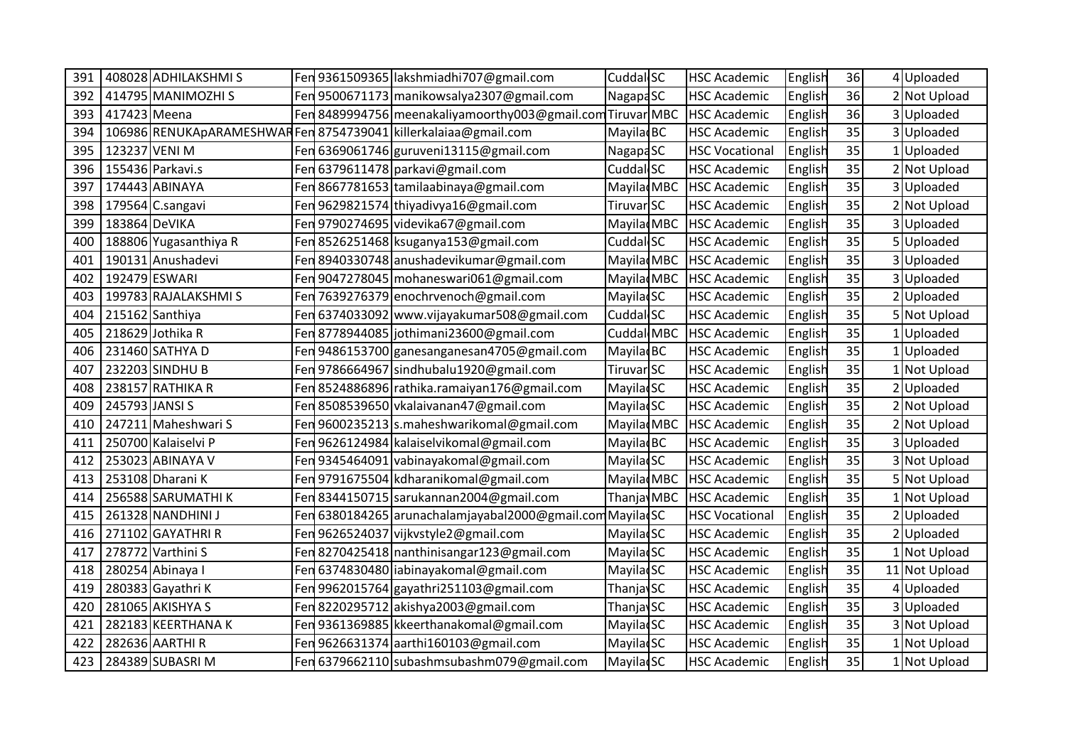| 391 |                | 408028 ADHILAKSHMIS                                             |     | Fen 9361509365 lakshmiadhi707@gmail.com                    | Cuddal SC              | <b>HSC Academic</b>   | English | 36 | 4 Uploaded    |
|-----|----------------|-----------------------------------------------------------------|-----|------------------------------------------------------------|------------------------|-----------------------|---------|----|---------------|
| 392 |                | 414795 MANIMOZHI S                                              |     | Fen 9500671173 manikowsalya2307@gmail.com                  | Nagapa <sub>SC</sub>   | <b>HSC Academic</b>   | English | 36 | 2 Not Upload  |
| 393 | 417423 Meena   |                                                                 |     | Fen 8489994756 meenakaliyamoorthy003@gmail.com Tiruvar MBC |                        | <b>HSC Academic</b>   | English | 36 | 3Uploaded     |
| 394 |                | 106986 RENUKApARAMESHWAR Fen 8754739041 killerkalaiaa@gmail.com |     |                                                            | Mayilad <sub>BC</sub>  | <b>HSC Academic</b>   | English | 35 | 3Uploaded     |
| 395 | 123237 VENI M  |                                                                 |     | Fen 6369061746 guruveni13115@gmail.com                     | Nagapa <sub>SC</sub>   | <b>HSC Vocational</b> | English | 35 | 1 Uploaded    |
| 396 |                | 155436 Parkavi.s                                                |     | Fen 6379611478 parkavi@gmail.com                           | Cuddal SC              | <b>HSC Academic</b>   | English | 35 | 2 Not Upload  |
| 397 |                | 174443 ABINAYA                                                  |     | Fen 8667781653 tamilaabinaya@gmail.com                     | Mayilad <sub>MBC</sub> | <b>HSC Academic</b>   | English | 35 | 3 Uploaded    |
| 398 |                | 179564 C.sangavi                                                |     | Fen 9629821574 thiyadivya16@gmail.com                      | Tiruvar SC             | <b>HSC Academic</b>   | English | 35 | 2 Not Upload  |
| 399 | 183864 DeVIKA  |                                                                 |     | Fen 9790274695 videvika67@gmail.com                        | Mayilad MBC            | <b>HSC Academic</b>   | English | 35 | 3Uploaded     |
| 400 |                | 188806 Yugasanthiya R                                           |     | Fen 8526251468 ksuganya153@gmail.com                       | Cuddal SC              | <b>HSC Academic</b>   | English | 35 | 5Uploaded     |
| 401 |                | 190131 Anushadevi                                               |     | Fen 8940330748 anushadevikumar@gmail.com                   | Mayilad <sub>MBC</sub> | <b>HSC Academic</b>   | English | 35 | 3 Uploaded    |
| 402 | 192479 ESWARI  |                                                                 | Fen | 9047278045 mohaneswari061@gmail.com                        | Mayilad MBC            | <b>HSC Academic</b>   | English | 35 | 3Uploaded     |
| 403 |                | 199783 RAJALAKSHMI S                                            | Fen | 7639276379 enochrvenoch@gmail.com                          | <b>MayiladSC</b>       | <b>HSC Academic</b>   | English | 35 | 2 Uploaded    |
| 404 |                | 215162 Santhiya                                                 |     | Fen 6374033092 www.vijayakumar508@gmail.com                | Cuddal SC              | <b>HSC Academic</b>   | English | 35 | 5 Not Upload  |
| 405 |                | 218629 Jothika R                                                |     | Fen 8778944085 jothimani23600@gmail.com                    | Cuddal MBC             | <b>HSC Academic</b>   | English | 35 | 1 Uploaded    |
| 406 |                | 231460 SATHYA D                                                 |     | Fen 9486153700 ganesanganesan4705@gmail.com                | Mayilad <sub>BC</sub>  | <b>HSC Academic</b>   | English | 35 | 1 Uploaded    |
| 407 |                | 232203 SINDHU B                                                 |     | Fen 9786664967 sindhubalu1920@gmail.com                    | Tiruvar SC             | <b>HSC Academic</b>   | English | 35 | 1 Not Upload  |
| 408 |                | 238157 RATHIKA R                                                |     | Fen 8524886896 rathika.ramaiyan176@gmail.com               | Mayila SC              | <b>HSC Academic</b>   | English | 35 | 2 Uploaded    |
| 409 | 245793 JANSI S |                                                                 |     | Fen 8508539650 vkalaivanan47@gmail.com                     | Mayila SC              | <b>HSC Academic</b>   | English | 35 | 2 Not Upload  |
| 410 |                | 247211 Maheshwari S                                             | Fen | 9600235213 s.maheshwarikomal@gmail.com                     | Mayilad <sub>MBC</sub> | <b>HSC Academic</b>   | English | 35 | 2 Not Upload  |
| 411 |                | 250700 Kalaiselvi P                                             | Fen | 9626124984 kalaiselvikomal@gmail.com                       | Mayilad <sub>BC</sub>  | <b>HSC Academic</b>   | English | 35 | 3 Uploaded    |
| 412 |                | 253023 ABINAYA V                                                |     | Fen 9345464091 vabinayakomal@gmail.com                     | Mayila SC              | <b>HSC Academic</b>   | English | 35 | 3 Not Upload  |
| 413 |                | 253108 Dharani K                                                |     | Fen 9791675504 kdharanikomal@gmail.com                     | Mayila MBC             | <b>HSC Academic</b>   | English | 35 | 5 Not Upload  |
| 414 |                | 256588 SARUMATHI K                                              |     | Fen 8344150715 sarukannan 2004@gmail.com                   | Thanja MBC             | <b>HSC Academic</b>   | English | 35 | 1 Not Upload  |
| 415 |                | 261328 NANDHINI J                                               |     | Fen 6380184265 arunachalamjayabal2000@gmail.com MayiladSC  |                        | <b>HSC Vocational</b> | English | 35 | 2Uploaded     |
| 416 |                | 271102 GAYATHRI R                                               |     | Fen 9626524037 vijkvstyle2@gmail.com                       | <b>Mayila</b> SC       | <b>HSC Academic</b>   | English | 35 | 2 Uploaded    |
| 417 |                | 278772 Varthini S                                               | Fen | 8270425418 nanthinisangar123@gmail.com                     | Mayila SC              | <b>HSC Academic</b>   | English | 35 | 1 Not Upload  |
| 418 |                | 280254 Abinaya I                                                | Fen | 6374830480 iabinayakomal@gmail.com                         | <b>MayilacSC</b>       | <b>HSC Academic</b>   | English | 35 | 11 Not Upload |
| 419 |                | 280383 Gayathri K                                               |     | Fen 9962015764 gayathri251103@gmail.com                    | Thanja SC              | <b>HSC Academic</b>   | English | 35 | 4Uploaded     |
| 420 |                | 281065 AKISHYA S                                                |     | Fen 8220295712 akishya2003@gmail.com                       | ThanjaySC              | <b>HSC Academic</b>   | English | 35 | 3 Uploaded    |
| 421 |                | 282183 KEERTHANA K                                              | Fen | 9361369885 kkeerthanakomal@gmail.com                       | Mayila SC              | <b>HSC Academic</b>   | English | 35 | 3 Not Upload  |
| 422 |                | 282636 AARTHI R                                                 |     | Fen 9626631374 aarthi160103@gmail.com                      | Mayila SC              | <b>HSC Academic</b>   | English | 35 | 1 Not Upload  |
| 423 |                | 284389 SUBASRIM                                                 |     | Fen 6379662110 subashmsubashm079@gmail.com                 | <b>MayiladSC</b>       | <b>HSC Academic</b>   | English | 35 | 1 Not Upload  |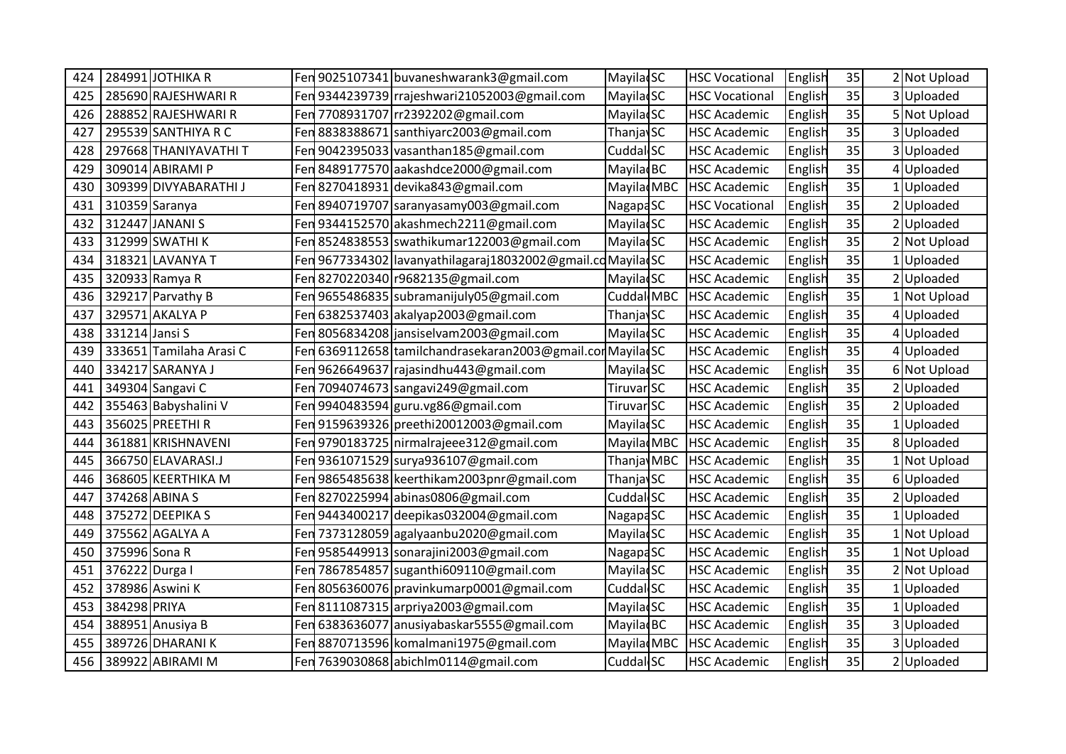| 424 | 284991 JOTHIKA R        |     | Fen 9025107341 buvaneshwarank3@gmail.com                   | Mayila SC             | <b>HSC Vocational</b> | English | 35 | 2 Not Upload |
|-----|-------------------------|-----|------------------------------------------------------------|-----------------------|-----------------------|---------|----|--------------|
| 425 | 285690 RAJESHWARI R     |     | Fen 9344239739 rrajeshwari21052003@gmail.com               | <b>MayilacSC</b>      | <b>HSC Vocational</b> | English | 35 | 3 Uploaded   |
| 426 | 288852 RAJESHWARI R     |     | Fen 7708931707 rr2392202@gmail.com                         | <b>MayilacSC</b>      | <b>HSC Academic</b>   | English | 35 | 5 Not Upload |
| 427 | 295539 SANTHIYA R C     |     | Fen 8838388671 santhiyarc2003@gmail.com                    | Thanjav <sub>SC</sub> | <b>HSC Academic</b>   | English | 35 | 3Uploaded    |
| 428 | 297668 THANIYAVATHI T   | Fen | 9042395033 vasanthan185@gmail.com                          | Cuddal <sub>SC</sub>  | <b>HSC Academic</b>   | English | 35 | 3 Uploaded   |
| 429 | 309014 ABIRAMI P        |     | Fen 8489177570 aakashdce2000@gmail.com                     | Mayila BC             | <b>HSC Academic</b>   | English | 35 | 4Uploaded    |
| 430 | 309399 DIVYABARATHI J   |     | Fen 8270418931 devika843@gmail.com                         | Mayila MBC            | <b>HSC Academic</b>   | English | 35 | 1 Uploaded   |
| 431 | 310359 Saranya          |     | Fen 8940719707 saranyasamy003@gmail.com                    | <b>NagapaSC</b>       | <b>HSC Vocational</b> | English | 35 | Uploaded     |
| 432 | 312447 JANANI S         |     | Fen 9344152570 akashmech 2211@gmail.com                    | Mayila SC             | <b>HSC Academic</b>   | English | 35 | 2 Uploaded   |
| 433 | 312999 SWATHI K         |     | Fen 8524838553 swathikumar122003@gmail.com                 | <b>MayilacSC</b>      | <b>HSC Academic</b>   | English | 35 | 2 Not Upload |
| 434 | 318321 LAVANYA T        |     | Fen 9677334302 lavanyathilagaraj18032002@gmail.cdMayiladSC |                       | <b>HSC Academic</b>   | English | 35 | 1 Uploaded   |
| 435 | 320933 Ramya R          |     | Fen 8270220340 r9682135@gmail.com                          | <b>MayilacSC</b>      | <b>HSC Academic</b>   | English | 35 | 2 Uploaded   |
| 436 | 329217 Parvathy B       |     | Fen 9655486835 subramanijuly 05@gmail.com                  | Cuddal MBC            | <b>HSC Academic</b>   | English | 35 | Not Upload   |
| 437 | 329571 AKALYA P         |     | Fen 6382537403 akalyap2003@gmail.com                       | <b>ThanjaySC</b>      | <b>HSC Academic</b>   | English | 35 | 4Uploaded    |
| 438 | 331214 Jansi S          |     | Fen 8056834208 jansiselvam 2003@gmail.com                  | <b>MayilacSC</b>      | <b>HSC Academic</b>   | English | 35 | 4Uploaded    |
| 439 | 333651 Tamilaha Arasi C |     | Fen 6369112658 tamilchandrasekaran2003@gmail.con MayiladSC |                       | <b>HSC Academic</b>   | English | 35 | 4Uploaded    |
| 440 | 334217 SARANYA J        |     | Fen 9626649637 rajasindhu443@gmail.com                     | Mayila SC             | <b>HSC Academic</b>   | English | 35 | 6 Not Upload |
| 441 | 349304 Sangavi C        |     | Fen 7094074673 sangavi249@gmail.com                        | Tiruvar SC            | <b>HSC Academic</b>   | English | 35 | 2 Uploaded   |
| 442 | 355463 Babyshalini V    |     | Fen 9940483594 guru.vg86@gmail.com                         | Tiruvar SC            | <b>HSC Academic</b>   | English | 35 | 2Uploaded    |
| 443 | 356025 PREETHI R        |     | Fen 9159639326 preethi20012003@gmail.com                   | <b>MayilacSC</b>      | <b>HSC Academic</b>   | English | 35 | Uploaded     |
| 444 | 361881 KRISHNAVENI      |     | Fen 9790183725   nirmalrajeee 312@gmail.com                | Mayilad MBC           | <b>HSC Academic</b>   | English | 35 | 8 Uploaded   |
| 445 | 366750 ELAVARASI.J      |     | Fen 9361071529 surya936107@gmail.com                       | Thanja MBC            | <b>HSC Academic</b>   | English | 35 | 1 Not Upload |
| 446 | 368605 KEERTHIKA M      |     | Fen 9865485638 keerthikam 2003pnr@gmail.com                | Thanjav <sub>SC</sub> | <b>HSC Academic</b>   | English | 35 | 6Uploaded    |
| 447 | 374268 ABINA S          |     | Fen 8270225994 abinas0806@gmail.com                        | Cuddal SC             | <b>HSC Academic</b>   | English | 35 | 2Uploaded    |
| 448 | 375272 DEEPIKA S        |     | Fen 9443400217 deepikas032004@gmail.com                    | <b>NagapaSC</b>       | <b>HSC Academic</b>   | English | 35 | Uploaded     |
| 449 | 375562 AGALYA A         |     | Fen 7373128059 agalyaanbu2020@gmail.com                    | <b>Mayila</b> SC      | <b>HSC Academic</b>   | English | 35 | 1 Not Upload |
| 450 | 375996 Sona R           |     | Fen 9585449913 sonarajini2003@gmail.com                    | Nagapa <sub>SC</sub>  | <b>HSC Academic</b>   | English | 35 | Not Upload   |
| 451 | 376222 Durga I          | Fen | 7867854857 suganthi609110@gmail.com                        | <b>MayilacSC</b>      | <b>HSC Academic</b>   | English | 35 | Not Upload   |
| 452 | 378986 Aswini K         |     | Fen 8056360076 pravinkumarp0001@gmail.com                  | Cuddal <sub>SC</sub>  | <b>HSC Academic</b>   | English | 35 | 1 Uploaded   |
| 453 | 384298 PRIYA            |     | Fen 8111087315 arpriya2003@gmail.com                       | <b>Mayila</b> SC      | <b>HSC Academic</b>   | English | 35 | 1 Uploaded   |
| 454 | 388951 Anusiya B        | Fen | 6383636077 anusiyabaskar5555@gmail.com                     | Mayila BC             | <b>HSC Academic</b>   | English | 35 | 3Uploaded    |
| 455 | 389726 DHARANI K        | Fen | 8870713596 komalmani1975@gmail.com                         | Mayila MBC            | <b>HSC Academic</b>   | English | 35 | 3 Uploaded   |
| 456 | 389922 ABIRAMI M        |     | Fen 7639030868 abichim0114@gmail.com                       | Cuddal <sub>SC</sub>  | <b>HSC Academic</b>   | English | 35 | 2 Uploaded   |